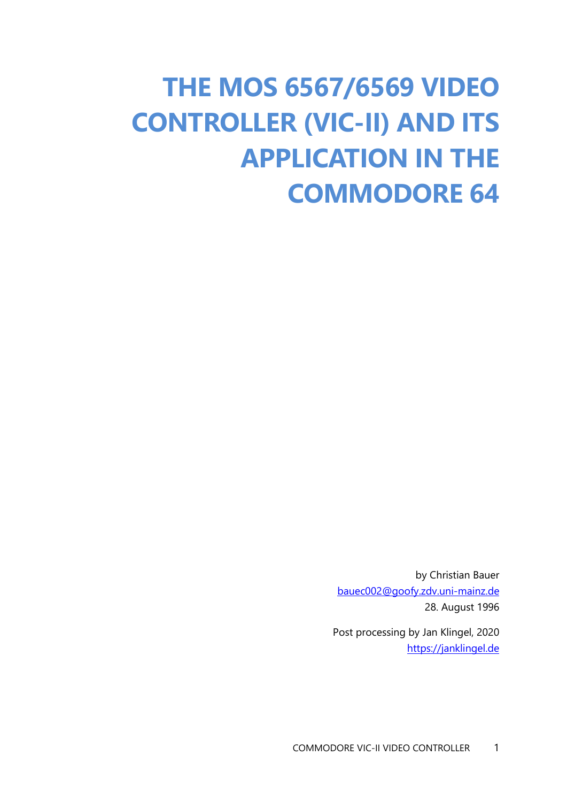# **THE MOS 6567/6569 VIDEO CONTROLLER (VIC-II) AND ITS APPLICATION IN THE COMMODORE 64**

by Christian Bauer [bauec002@goofy.zdv.uni-mainz.de](mailto:bauec002@goofy.zdv.uni-mainz.de) 28. August 1996

Post processing by Jan Klingel, 2020 [https://janklingel.de](https://janklingel.de/)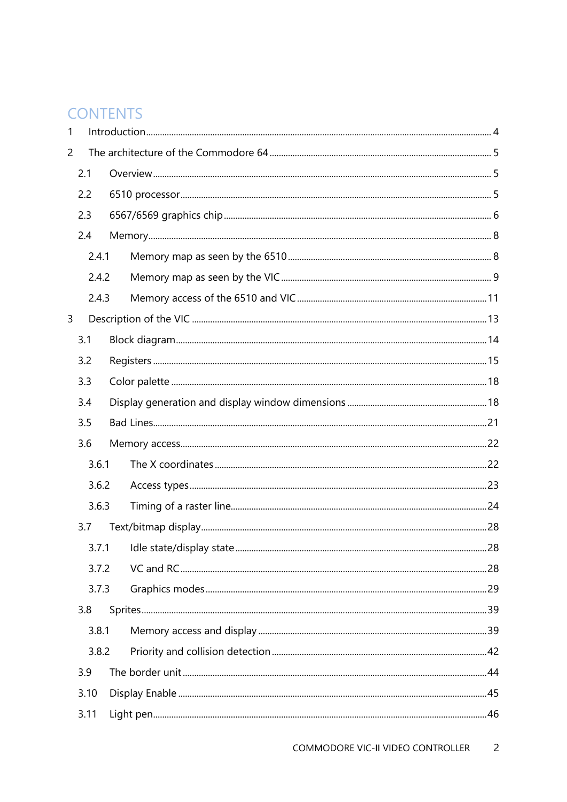### **CONTENTS**

| 1              |       |  |  |
|----------------|-------|--|--|
| $\overline{2}$ |       |  |  |
|                | 2.1   |  |  |
|                | 2.2   |  |  |
|                | 2.3   |  |  |
|                | 2.4   |  |  |
|                | 2.4.1 |  |  |
|                | 2.4.2 |  |  |
|                | 2.4.3 |  |  |
| 3              |       |  |  |
|                | 3.1   |  |  |
|                | 3.2   |  |  |
|                | 3.3   |  |  |
|                | 3.4   |  |  |
|                | 3.5   |  |  |
|                | 3.6   |  |  |
|                | 3.6.1 |  |  |
|                | 3.6.2 |  |  |
|                | 3.6.3 |  |  |
|                | 3.7   |  |  |
|                |       |  |  |
|                | 3.7.2 |  |  |
|                | 3.7.3 |  |  |
|                | 3.8   |  |  |
|                | 3.8.1 |  |  |
|                | 3.8.2 |  |  |
|                | 3.9   |  |  |
|                | 3.10  |  |  |
|                | 3.11  |  |  |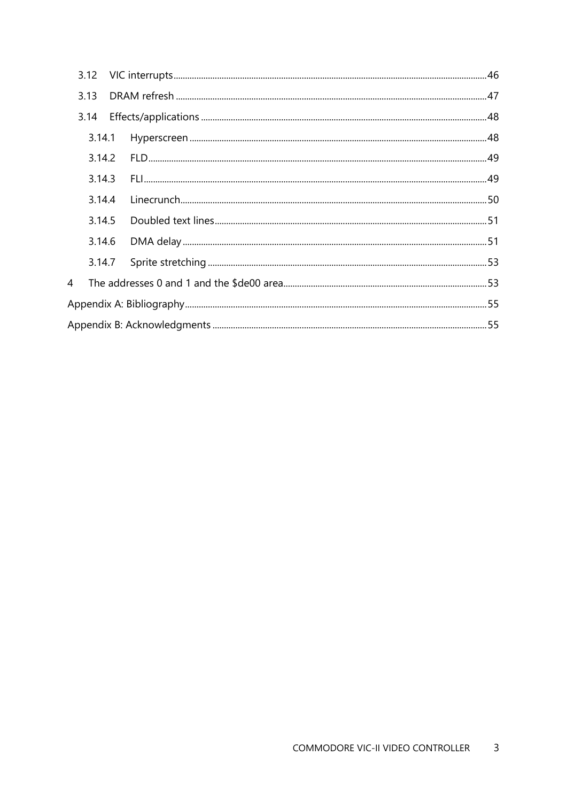|                | 3.12   |  |  |
|----------------|--------|--|--|
|                | 3.13   |  |  |
|                | 3.14   |  |  |
|                | 3.14.1 |  |  |
|                | 3.14.2 |  |  |
|                | 3.14.3 |  |  |
|                | 3.14.4 |  |  |
|                | 3.14.5 |  |  |
|                | 3.14.6 |  |  |
|                |        |  |  |
| $\overline{4}$ |        |  |  |
|                |        |  |  |
|                |        |  |  |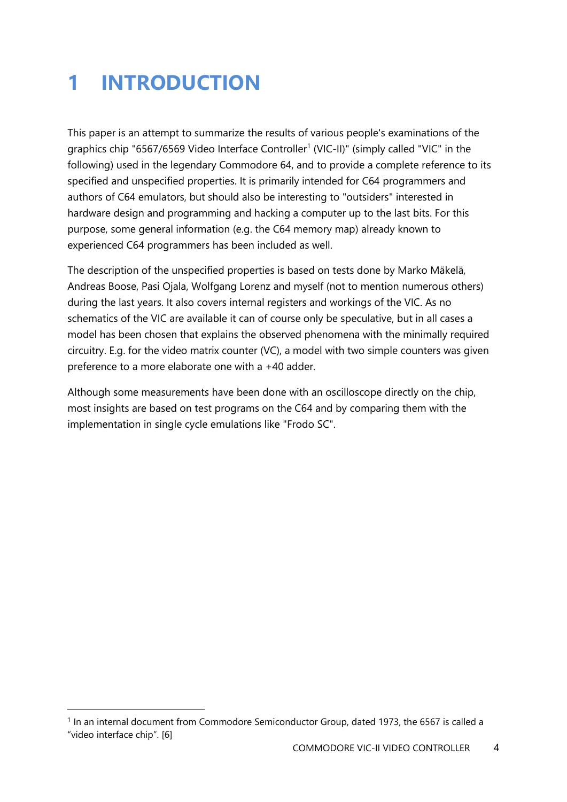# <span id="page-3-0"></span>**1 INTRODUCTION**

This paper is an attempt to summarize the results of various people's examinations of the graphics chip "6567/6569 Video Interface Controller<sup>1</sup> (VIC-II)" (simply called "VIC" in the following) used in the legendary Commodore 64, and to provide a complete reference to its specified and unspecified properties. It is primarily intended for C64 programmers and authors of C64 emulators, but should also be interesting to "outsiders" interested in hardware design and programming and hacking a computer up to the last bits. For this purpose, some general information (e.g. the C64 memory map) already known to experienced C64 programmers has been included as well.

The description of the unspecified properties is based on tests done by Marko Mäkelä, Andreas Boose, Pasi Ojala, Wolfgang Lorenz and myself (not to mention numerous others) during the last years. It also covers internal registers and workings of the VIC. As no schematics of the VIC are available it can of course only be speculative, but in all cases a model has been chosen that explains the observed phenomena with the minimally required circuitry. E.g. for the video matrix counter (VC), a model with two simple counters was given preference to a more elaborate one with a +40 adder.

Although some measurements have been done with an oscilloscope directly on the chip, most insights are based on test programs on the C64 and by comparing them with the implementation in single cycle emulations like "Frodo SC".

 $\overline{a}$ 

<sup>&</sup>lt;sup>1</sup> In an internal document from Commodore Semiconductor Group, dated 1973, the 6567 is called a "video interface chip". [6]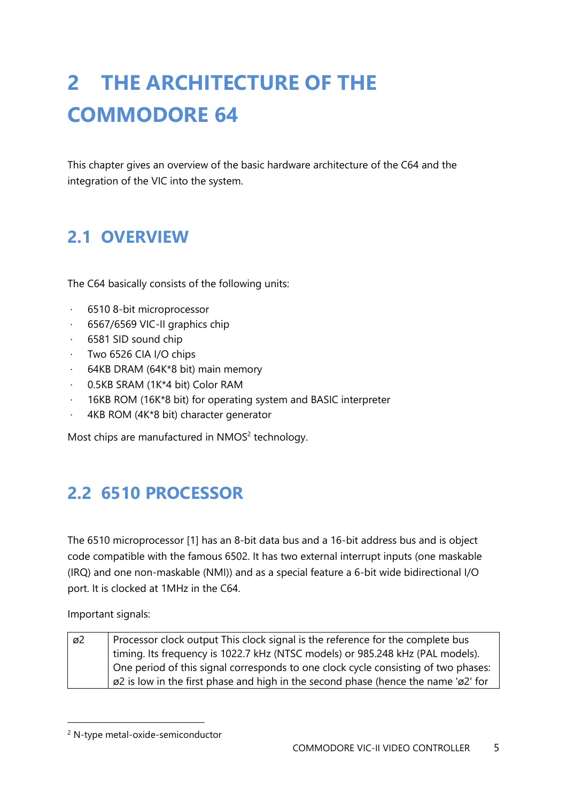# <span id="page-4-0"></span>**2 THE ARCHITECTURE OF THE COMMODORE 64**

This chapter gives an overview of the basic hardware architecture of the C64 and the integration of the VIC into the system.

# <span id="page-4-1"></span>**2.1 OVERVIEW**

The C64 basically consists of the following units:

- · 6510 8-bit microprocessor
- · 6567/6569 VIC-II graphics chip
- · 6581 SID sound chip
- · Two 6526 CIA I/O chips
- · 64KB DRAM (64K\*8 bit) main memory
- · 0.5KB SRAM (1K\*4 bit) Color RAM
- · 16KB ROM (16K\*8 bit) for operating system and BASIC interpreter
- · 4KB ROM (4K\*8 bit) character generator

Most chips are manufactured in NMOS $2$  technology.

# <span id="page-4-2"></span>**2.2 6510 PROCESSOR**

The 6510 microprocessor [1] has an 8-bit data bus and a 16-bit address bus and is object code compatible with the famous 6502. It has two external interrupt inputs (one maskable (IRQ) and one non-maskable (NMI)) and as a special feature a 6-bit wide bidirectional I/O port. It is clocked at 1MHz in the C64.

Important signals:

| ø2 | Processor clock output This clock signal is the reference for the complete bus                            |
|----|-----------------------------------------------------------------------------------------------------------|
|    | timing. Its frequency is 1022.7 kHz (NTSC models) or 985.248 kHz (PAL models).                            |
|    | One period of this signal corresponds to one clock cycle consisting of two phases:                        |
|    | $\alpha$ $\beta$ is low in the first phase and high in the second phase (hence the name ' $\alpha$ 2' for |

<sup>2</sup> N-type metal-oxide-semiconductor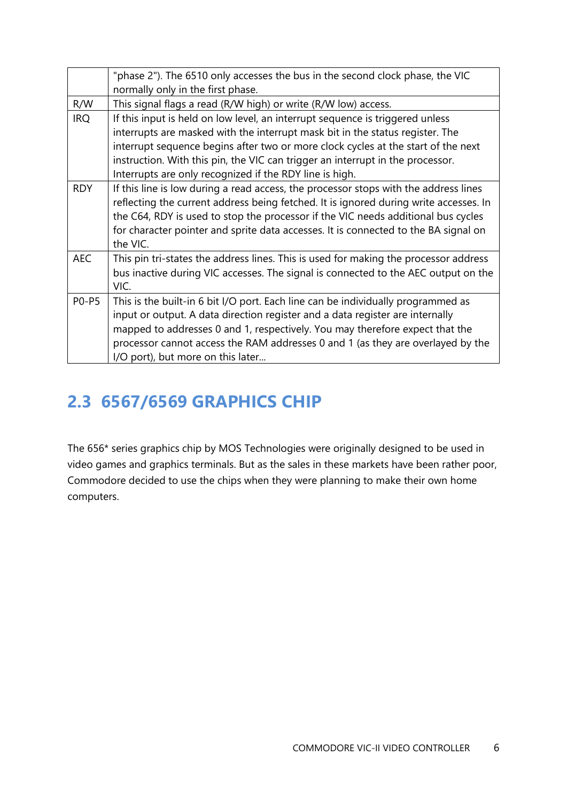|              | "phase 2"). The 6510 only accesses the bus in the second clock phase, the VIC         |
|--------------|---------------------------------------------------------------------------------------|
|              | normally only in the first phase.                                                     |
| R/W          | This signal flags a read (R/W high) or write (R/W low) access.                        |
| <b>IRQ</b>   | If this input is held on low level, an interrupt sequence is triggered unless         |
|              | interrupts are masked with the interrupt mask bit in the status register. The         |
|              | interrupt sequence begins after two or more clock cycles at the start of the next     |
|              | instruction. With this pin, the VIC can trigger an interrupt in the processor.        |
|              | Interrupts are only recognized if the RDY line is high.                               |
| <b>RDY</b>   | If this line is low during a read access, the processor stops with the address lines  |
|              | reflecting the current address being fetched. It is ignored during write accesses. In |
|              | the C64, RDY is used to stop the processor if the VIC needs additional bus cycles     |
|              | for character pointer and sprite data accesses. It is connected to the BA signal on   |
|              | the VIC.                                                                              |
| <b>AEC</b>   | This pin tri-states the address lines. This is used for making the processor address  |
|              | bus inactive during VIC accesses. The signal is connected to the AEC output on the    |
|              | VIC.                                                                                  |
| <b>PO-P5</b> | This is the built-in 6 bit I/O port. Each line can be individually programmed as      |
|              | input or output. A data direction register and a data register are internally         |
|              | mapped to addresses 0 and 1, respectively. You may therefore expect that the          |
|              | processor cannot access the RAM addresses 0 and 1 (as they are overlayed by the       |
|              | I/O port), but more on this later                                                     |

# <span id="page-5-0"></span>**2.3 6567/6569 GRAPHICS CHIP**

The 656\* series graphics chip by MOS Technologies were originally designed to be used in video games and graphics terminals. But as the sales in these markets have been rather poor, Commodore decided to use the chips when they were planning to make their own home computers.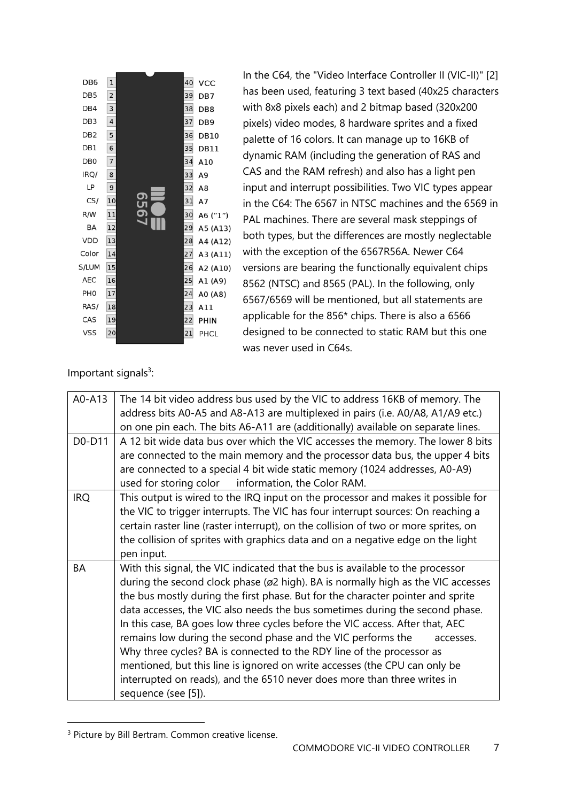| DB <sub>6</sub> | $\mathbf 1$    |      | 40 | VCC             |
|-----------------|----------------|------|----|-----------------|
| DB <sub>5</sub> | $\overline{2}$ |      | 39 | DB7             |
| DB4             | 3              |      | 38 | DB <sub>8</sub> |
| DB <sub>3</sub> | $\overline{4}$ |      | 37 | DB <sub>9</sub> |
| DB <sub>2</sub> | 5              |      | 36 | <b>DB10</b>     |
| DB1             | 6              |      | 35 | <b>DB11</b>     |
| DB <sub>0</sub> | 7              |      | 34 | A10             |
| IRQ/            | 8              |      | 33 | A <sub>9</sub>  |
| LP              | 9              |      | 32 | A8              |
| CS/             | 10             | 6567 | 31 | A7              |
| R/W             | 11             |      | 30 | A6 ("1")        |
| BA              | 12             |      | 29 | A5 (A13)        |
| <b>VDD</b>      | 13             |      | 28 | A4 (A12)        |
| Color           | 14             |      | 27 | A3 (A11)        |
| S/LUM           | 15             |      | 26 | A2 (A10)        |
| <b>AEC</b>      | 16             |      | 25 | A1 (A9)         |
| PH <sub>0</sub> | 17             |      | 24 | A0 (A8)         |
| RAS/            | 18             |      | 23 | A11             |
| CAS             | 19             |      | 22 | PHIN            |
| VSS             | 20             |      | 21 | PHCL            |
|                 |                |      |    |                 |

In the C64, the "Video Interface Controller II (VIC-II)" [2] has been used, featuring 3 text based (40x25 characters with 8x8 pixels each) and 2 bitmap based (320x200 pixels) video modes, 8 hardware sprites and a fixed palette of 16 colors. It can manage up to 16KB of dynamic RAM (including the generation of RAS and CAS and the RAM refresh) and also has a light pen input and interrupt possibilities. Two VIC types appear in the C64: The 6567 in NTSC machines and the 6569 in PAL machines. There are several mask steppings of both types, but the differences are mostly neglectable with the exception of the 6567R56A. Newer C64 versions are bearing the functionally equivalent chips 8562 (NTSC) and 8565 (PAL). In the following, only 6567/6569 will be mentioned, but all statements are applicable for the 856\* chips. There is also a 6566 designed to be connected to static RAM but this one was never used in C64s.

Important signals<sup>3</sup>:

| $A0 - A13$ | The 14 bit video address bus used by the VIC to address 16KB of memory. The<br>address bits A0-A5 and A8-A13 are multiplexed in pairs (i.e. A0/A8, A1/A9 etc.)<br>on one pin each. The bits A6-A11 are (additionally) available on separate lines.                                                                                                                                                                                                                                                                                                                                                                                                                                                                                                            |
|------------|---------------------------------------------------------------------------------------------------------------------------------------------------------------------------------------------------------------------------------------------------------------------------------------------------------------------------------------------------------------------------------------------------------------------------------------------------------------------------------------------------------------------------------------------------------------------------------------------------------------------------------------------------------------------------------------------------------------------------------------------------------------|
| D0-D11     | A 12 bit wide data bus over which the VIC accesses the memory. The lower 8 bits<br>are connected to the main memory and the processor data bus, the upper 4 bits<br>are connected to a special 4 bit wide static memory (1024 addresses, A0-A9)<br>used for storing color information, the Color RAM.                                                                                                                                                                                                                                                                                                                                                                                                                                                         |
| <b>IRQ</b> | This output is wired to the IRQ input on the processor and makes it possible for<br>the VIC to trigger interrupts. The VIC has four interrupt sources: On reaching a<br>certain raster line (raster interrupt), on the collision of two or more sprites, on<br>the collision of sprites with graphics data and on a negative edge on the light<br>pen input.                                                                                                                                                                                                                                                                                                                                                                                                  |
| BA         | With this signal, the VIC indicated that the bus is available to the processor<br>during the second clock phase (ø2 high). BA is normally high as the VIC accesses<br>the bus mostly during the first phase. But for the character pointer and sprite<br>data accesses, the VIC also needs the bus sometimes during the second phase.<br>In this case, BA goes low three cycles before the VIC access. After that, AEC<br>remains low during the second phase and the VIC performs the<br>accesses.<br>Why three cycles? BA is connected to the RDY line of the processor as<br>mentioned, but this line is ignored on write accesses (the CPU can only be<br>interrupted on reads), and the 6510 never does more than three writes in<br>sequence (see [5]). |

<sup>&</sup>lt;sup>3</sup> Picture by Bill Bertram. Common creative license.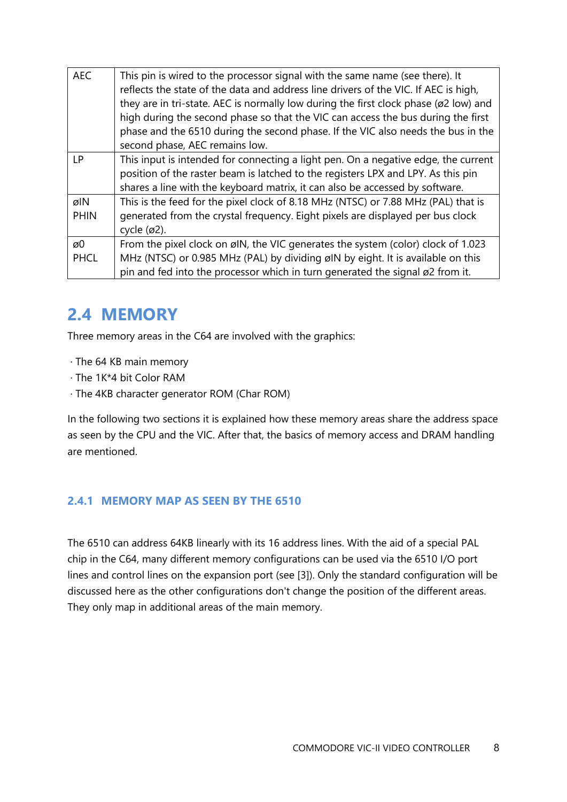| <b>AEC</b>         | This pin is wired to the processor signal with the same name (see there). It<br>reflects the state of the data and address line drivers of the VIC. If AEC is high,<br>they are in tri-state. AEC is normally low during the first clock phase (ø2 low) and<br>high during the second phase so that the VIC can access the bus during the first<br>phase and the 6510 during the second phase. If the VIC also needs the bus in the<br>second phase, AEC remains low. |
|--------------------|-----------------------------------------------------------------------------------------------------------------------------------------------------------------------------------------------------------------------------------------------------------------------------------------------------------------------------------------------------------------------------------------------------------------------------------------------------------------------|
| LP                 | This input is intended for connecting a light pen. On a negative edge, the current<br>position of the raster beam is latched to the registers LPX and LPY. As this pin<br>shares a line with the keyboard matrix, it can also be accessed by software.                                                                                                                                                                                                                |
| øIN<br><b>PHIN</b> | This is the feed for the pixel clock of 8.18 MHz (NTSC) or 7.88 MHz (PAL) that is<br>generated from the crystal frequency. Eight pixels are displayed per bus clock<br>cycle $(Ø2)$ .                                                                                                                                                                                                                                                                                 |
| øΟ<br><b>PHCL</b>  | From the pixel clock on øIN, the VIC generates the system (color) clock of 1.023<br>MHz (NTSC) or 0.985 MHz (PAL) by dividing øIN by eight. It is available on this<br>pin and fed into the processor which in turn generated the signal ø2 from it.                                                                                                                                                                                                                  |

## <span id="page-7-0"></span>**2.4 MEMORY**

Three memory areas in the C64 are involved with the graphics:

- · The 64 KB main memory
- · The 1K\*4 bit Color RAM
- · The 4KB character generator ROM (Char ROM)

In the following two sections it is explained how these memory areas share the address space as seen by the CPU and the VIC. After that, the basics of memory access and DRAM handling are mentioned.

#### <span id="page-7-1"></span>**2.4.1 MEMORY MAP AS SEEN BY THE 6510**

The 6510 can address 64KB linearly with its 16 address lines. With the aid of a special PAL chip in the C64, many different memory configurations can be used via the 6510 I/O port lines and control lines on the expansion port (see [3]). Only the standard configuration will be discussed here as the other configurations don't change the position of the different areas. They only map in additional areas of the main memory.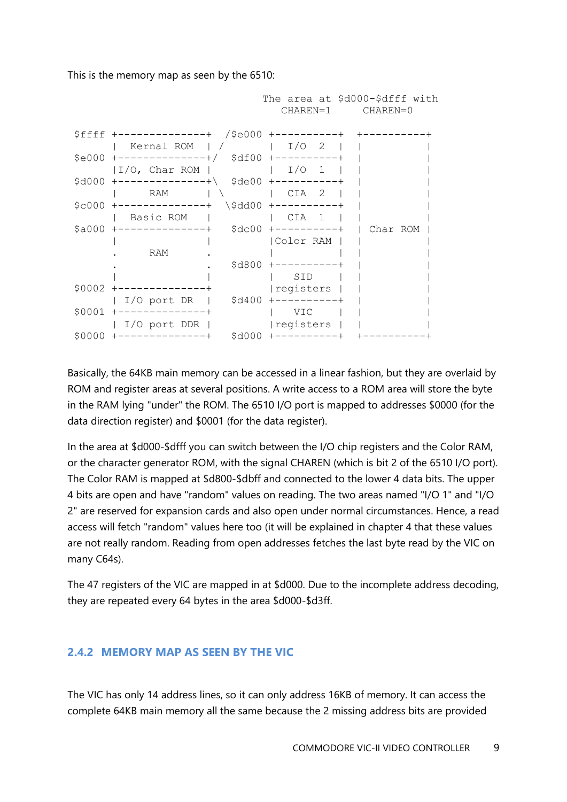This is the memory map as seen by the 6510:



Basically, the 64KB main memory can be accessed in a linear fashion, but they are overlaid by ROM and register areas at several positions. A write access to a ROM area will store the byte in the RAM lying "under" the ROM. The 6510 I/O port is mapped to addresses \$0000 (for the data direction register) and \$0001 (for the data register).

In the area at \$d000-\$dfff you can switch between the I/O chip registers and the Color RAM, or the character generator ROM, with the signal CHAREN (which is bit 2 of the 6510 I/O port). The Color RAM is mapped at \$d800-\$dbff and connected to the lower 4 data bits. The upper 4 bits are open and have "random" values on reading. The two areas named "I/O 1" and "I/O 2" are reserved for expansion cards and also open under normal circumstances. Hence, a read access will fetch "random" values here too (it will be explained in chapter 4 that these values are not really random. Reading from open addresses fetches the last byte read by the VIC on many C64s).

The 47 registers of the VIC are mapped in at \$d000. Due to the incomplete address decoding, they are repeated every 64 bytes in the area \$d000-\$d3ff.

#### <span id="page-8-0"></span>**2.4.2 MEMORY MAP AS SEEN BY THE VIC**

The VIC has only 14 address lines, so it can only address 16KB of memory. It can access the complete 64KB main memory all the same because the 2 missing address bits are provided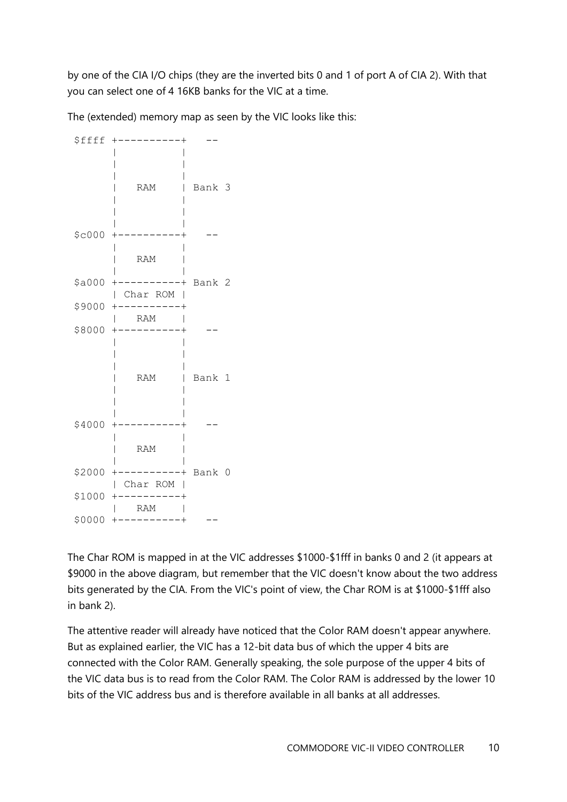by one of the CIA I/O chips (they are the inverted bits 0 and 1 of port A of CIA 2). With that you can select one of 4 16KB banks for the VIC at a time.

The (extended) memory map as seen by the VIC looks like this:

\$ffff +----------+ -- | | | | | | | RAM | Bank 3 | | | | | |  $$c000$  +----------+ | | | RAM | | | \$a000 +----------+ Bank 2 | Char ROM | \$9000 +----------+ | RAM | \$8000 +----------+ -- | | | | | | | RAM | Bank 1 | | | | | |  $$4000$  +---------+ | | | RAM | | | \$2000 +----------+ Bank 0 | Char ROM |  $$1000$  +----------+ | RAM | \$0000 +----------+ --

The Char ROM is mapped in at the VIC addresses \$1000-\$1fff in banks 0 and 2 (it appears at \$9000 in the above diagram, but remember that the VIC doesn't know about the two address bits generated by the CIA. From the VIC's point of view, the Char ROM is at \$1000-\$1fff also in bank 2).

The attentive reader will already have noticed that the Color RAM doesn't appear anywhere. But as explained earlier, the VIC has a 12-bit data bus of which the upper 4 bits are connected with the Color RAM. Generally speaking, the sole purpose of the upper 4 bits of the VIC data bus is to read from the Color RAM. The Color RAM is addressed by the lower 10 bits of the VIC address bus and is therefore available in all banks at all addresses.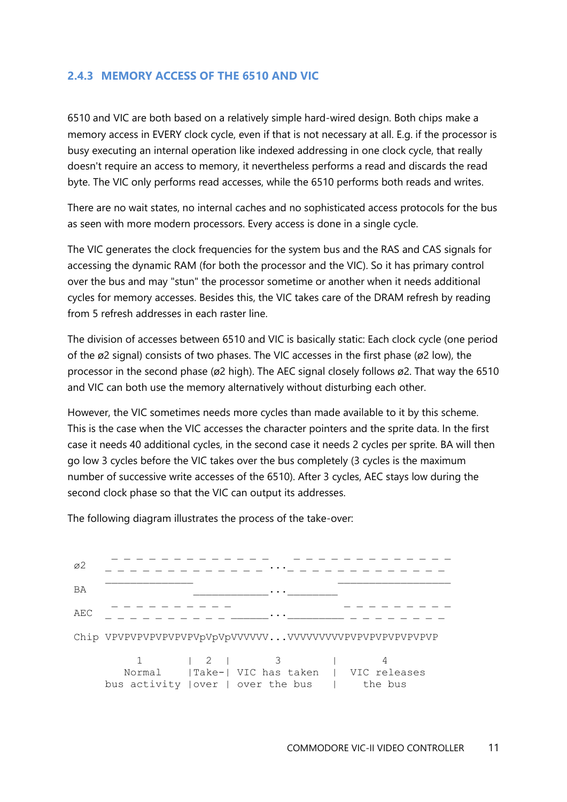#### <span id="page-10-0"></span>**2.4.3 MEMORY ACCESS OF THE 6510 AND VIC**

6510 and VIC are both based on a relatively simple hard-wired design. Both chips make a memory access in EVERY clock cycle, even if that is not necessary at all. E.g. if the processor is busy executing an internal operation like indexed addressing in one clock cycle, that really doesn't require an access to memory, it nevertheless performs a read and discards the read byte. The VIC only performs read accesses, while the 6510 performs both reads and writes.

There are no wait states, no internal caches and no sophisticated access protocols for the bus as seen with more modern processors. Every access is done in a single cycle.

The VIC generates the clock frequencies for the system bus and the RAS and CAS signals for accessing the dynamic RAM (for both the processor and the VIC). So it has primary control over the bus and may "stun" the processor sometime or another when it needs additional cycles for memory accesses. Besides this, the VIC takes care of the DRAM refresh by reading from 5 refresh addresses in each raster line.

The division of accesses between 6510 and VIC is basically static: Each clock cycle (one period of the ø2 signal) consists of two phases. The VIC accesses in the first phase (ø2 low), the processor in the second phase (ø2 high). The AEC signal closely follows ø2. That way the 6510 and VIC can both use the memory alternatively without disturbing each other.

However, the VIC sometimes needs more cycles than made available to it by this scheme. This is the case when the VIC accesses the character pointers and the sprite data. In the first case it needs 40 additional cycles, in the second case it needs 2 cycles per sprite. BA will then go low 3 cycles before the VIC takes over the bus completely (3 cycles is the maximum number of successive write accesses of the 6510). After 3 cycles, AEC stays low during the second clock phase so that the VIC can output its addresses.

The following diagram illustrates the process of the take-over:

| $\varnothing$ |  |                                                                                                                                                        |                         |
|---------------|--|--------------------------------------------------------------------------------------------------------------------------------------------------------|-------------------------|
| BA            |  | $\cdots$                                                                                                                                               |                         |
| AEC           |  |                                                                                                                                                        |                         |
|               |  |                                                                                                                                                        |                         |
|               |  | $\begin{array}{ccc} & 2 & \end{array}$ $\begin{array}{ccc} & 3 & \end{array}$<br>Normal   Take-  VIC has taken  <br>bus activity   over   over the bus | VIC releases<br>the bus |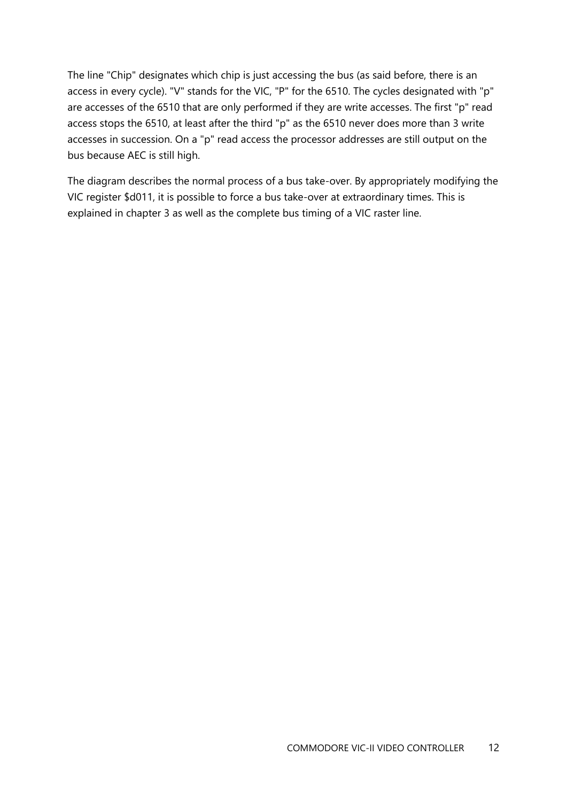The line "Chip" designates which chip is just accessing the bus (as said before, there is an access in every cycle). "V" stands for the VIC, "P" for the 6510. The cycles designated with "p" are accesses of the 6510 that are only performed if they are write accesses. The first "p" read access stops the 6510, at least after the third "p" as the 6510 never does more than 3 write accesses in succession. On a "p" read access the processor addresses are still output on the bus because AEC is still high.

The diagram describes the normal process of a bus take-over. By appropriately modifying the VIC register \$d011, it is possible to force a bus take-over at extraordinary times. This is explained in chapter 3 as well as the complete bus timing of a VIC raster line.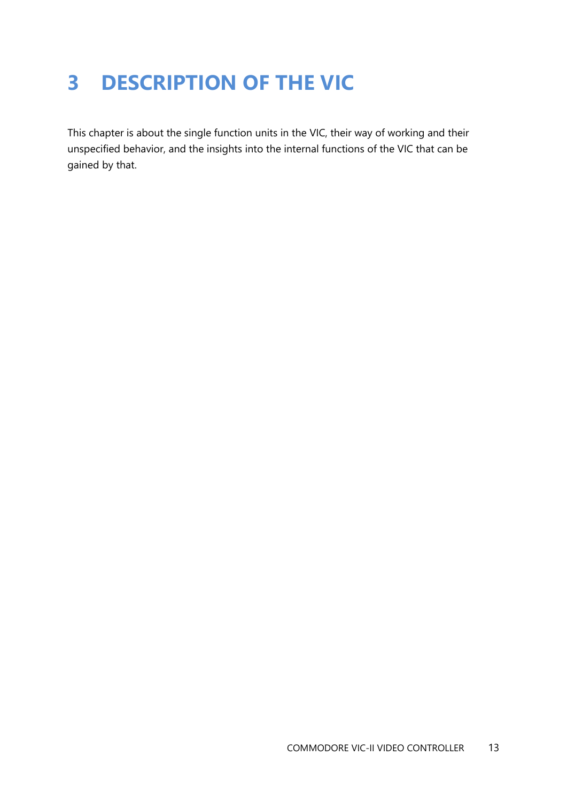# <span id="page-12-0"></span>**3 DESCRIPTION OF THE VIC**

This chapter is about the single function units in the VIC, their way of working and their unspecified behavior, and the insights into the internal functions of the VIC that can be gained by that.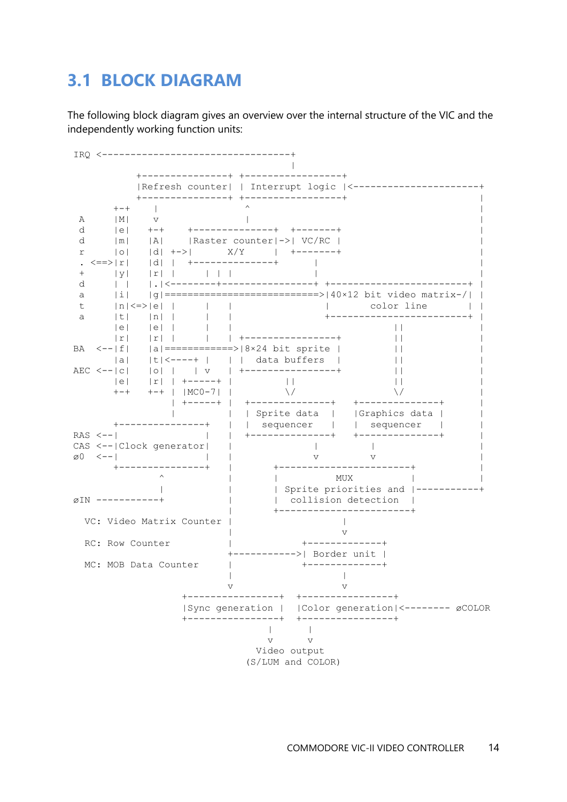### <span id="page-13-0"></span>**3.1 BLOCK DIAGRAM**

The following block diagram gives an overview over the internal structure of the VIC and the independently working function units:

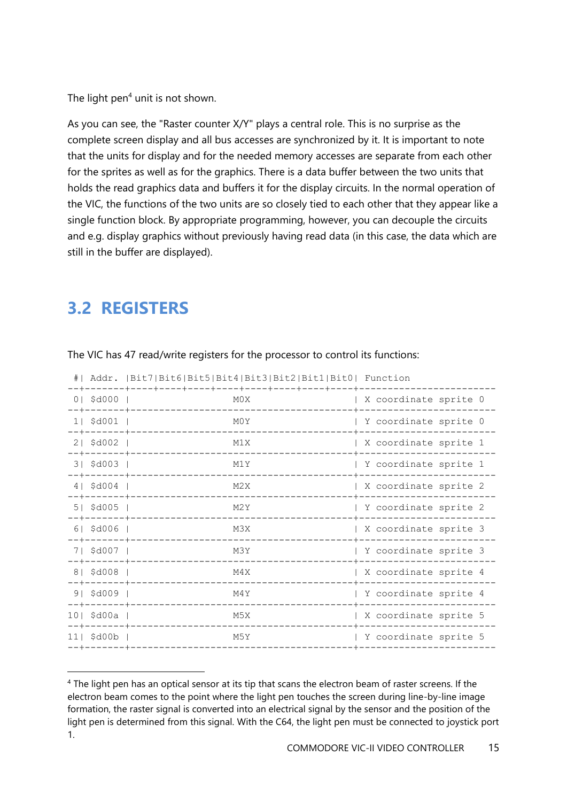The light pen $4$  unit is not shown.

As you can see, the "Raster counter X/Y" plays a central role. This is no surprise as the complete screen display and all bus accesses are synchronized by it. It is important to note that the units for display and for the needed memory accesses are separate from each other for the sprites as well as for the graphics. There is a data buffer between the two units that holds the read graphics data and buffers it for the display circuits. In the normal operation of the VIC, the functions of the two units are so closely tied to each other that they appear like a single function block. By appropriate programming, however, you can decouple the circuits and e.g. display graphics without previously having read data (in this case, the data which are still in the buffer are displayed).

# <span id="page-14-0"></span>**3.2 REGISTERS**

|                                   | #  Addr.   Bit7   Bit6   Bit5   Bit4   Bit3   Bit2   Bit1   Bit0   Function |                       |
|-----------------------------------|-----------------------------------------------------------------------------|-----------------------|
| 0   \$d000                        | M0X<br>-+-------+-------                                                    | X coordinate sprite 0 |
| 1   \$d001                        | M0Y                                                                         | Y coordinate sprite 0 |
| $21$ \$d002<br>--+-------+        | M1X                                                                         | X coordinate sprite 1 |
| 3   \$d003  <br>--+-------+       | M1Y                                                                         | Y coordinate sprite 1 |
| 4   \$d004<br>--+-------+         | M <sub>2</sub> X                                                            | X coordinate sprite 2 |
| $51$ \$d005<br>$-+ - - - - - - +$ | M2Y                                                                         | Y coordinate sprite 2 |
| $61$ \$d006<br>-+-------+         | M3X                                                                         | X coordinate sprite 3 |
| 7  \$d007  <br>-+-------+-        | M3Y                                                                         | Y coordinate sprite 3 |
| 8   \$d008<br>-+-------+          | M4X                                                                         | X coordinate sprite 4 |
| 9   \$d009<br>----------+         | M4Y                                                                         | Y coordinate sprite 4 |
| 10   \$d00a  <br>--+-------+      | M5X                                                                         | X coordinate sprite 5 |
| 11  \$d00b  <br>--+-------+-      | M5Y                                                                         | Y coordinate sprite 5 |
|                                   |                                                                             |                       |

The VIC has 47 read/write registers for the processor to control its functions:

<sup>4</sup> The light pen has an optical sensor at its tip that scans the electron beam of raster screens. If the electron beam comes to the point where the light pen touches the screen during line-by-line image formation, the raster signal is converted into an electrical signal by the sensor and the position of the light pen is determined from this signal. With the C64, the light pen must be connected to joystick port 1.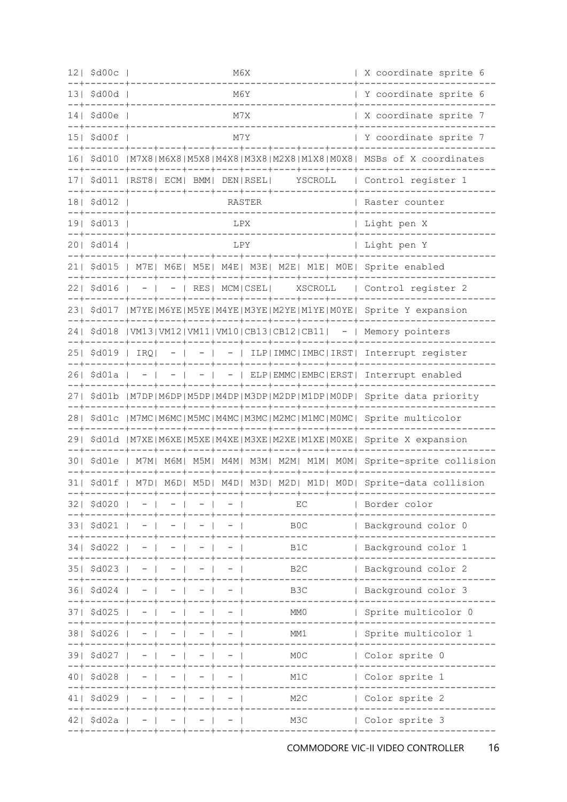|       | $12$   \$d00c  <br>--+-------+        | M6X |                                       |  |                                |                       |                  | X coordinate sprite 6 |  |                                                                                            |
|-------|---------------------------------------|-----|---------------------------------------|--|--------------------------------|-----------------------|------------------|-----------------------|--|--------------------------------------------------------------------------------------------|
|       | 13  \$d00d                            |     | M6Y<br>--+-------+------------------- |  |                                |                       |                  |                       |  | Y coordinate sprite 6                                                                      |
|       | $14$   \$d00e<br>--+-------           |     |                                       |  | M7X<br>. _ _ _ _ _ _ _ _ _ _ _ | X coordinate sprite 7 |                  |                       |  |                                                                                            |
|       | 15  \$d00f                            |     |                                       |  | M7Y                            |                       |                  |                       |  | Y coordinate sprite 7                                                                      |
|       |                                       |     |                                       |  |                                |                       |                  |                       |  | 16  \$d010   M7X8   M6X8   M5X8   M4X8   M3X8   M2X8   M1X8   M0X8   MSBs of X coordinates |
|       |                                       |     |                                       |  |                                |                       |                  |                       |  | 17  \$d011   RST8  ECM  BMM  DEN  RSEL  YSCROLL   Control register 1                       |
|       | 18  \$d012  <br>--+-------+           |     | ---------------------                 |  |                                | RASTER                |                  |                       |  | Raster counter                                                                             |
|       | 19  \$d013  <br>$- - + - - - - - - +$ |     |                                       |  | LPX                            |                       |                  |                       |  | Light pen X                                                                                |
|       | 20  \$d014                            |     |                                       |  | LPY                            |                       |                  |                       |  | Light pen Y                                                                                |
|       |                                       |     |                                       |  |                                |                       |                  |                       |  | 21  \$d015   M7E  M6E  M5E  M4E  M3E  M2E  M1E  M0E  Sprite enabled                        |
|       |                                       |     |                                       |  |                                |                       |                  |                       |  | 22  \$d016   -   -   RES  MCM CSEL  XSCROLL   Control register 2                           |
|       |                                       |     |                                       |  |                                |                       |                  |                       |  | 23  \$d017   M7YE   M6YE   M5YE   M4YE   M3YE   M2YE   M1YE   M0YE   Sprite Y expansion    |
|       |                                       |     |                                       |  |                                |                       |                  |                       |  | 24  \$d018   VM13  VM12  VM11  VM10  CB13  CB12  CB11  -   Memory pointers                 |
|       |                                       |     |                                       |  |                                |                       |                  |                       |  | 25  \$d019   IRQ  -   -   -   ILP IMMC IMBC IRST  Interrupt register                       |
|       |                                       |     |                                       |  |                                |                       |                  |                       |  | 26  \$d01a   -   -   -   -   ELP EMMC EMBC ERST  Interrupt enabled                         |
|       |                                       |     |                                       |  |                                |                       |                  |                       |  | 27  \$d01b   M7DP   M6DP   M5DP   M4DP   M3DP   M2DP   M1DP   MODP   Sprite data priority  |
|       |                                       |     |                                       |  |                                |                       |                  |                       |  | 28  \$d01c   M7MC  M6MC  M5MC  M4MC  M3MC  M2MC  M1MC  M0MC  Sprite multicolor             |
|       |                                       |     |                                       |  |                                |                       |                  |                       |  | 29  \$d01d   M7XE   M6XE   M5XE   M4XE   M3XE   M2XE   M1XE   M0XE   Sprite X expansion    |
|       |                                       |     |                                       |  |                                |                       |                  |                       |  | 30  \$d01e   M7M  M6M  M5M  M4M  M3M  M2M  M1M  M0M  Sprite-sprite collision               |
|       |                                       |     |                                       |  |                                |                       |                  |                       |  | 31  \$d01f   M7D  M6D  M5D  M4D  M3D  M2D  M1D  M0D  Sprite-data collision                 |
|       | 32  \$d020                            |     |                                       |  |                                |                       |                  | EC                    |  | Border color                                                                               |
|       | 33  \$d021                            |     |                                       |  |                                |                       | B <sub>0</sub> C |                       |  | Background color 0                                                                         |
| 34 I  | \$d022                                |     |                                       |  |                                |                       | B1C              |                       |  | Background color 1                                                                         |
| 35 I  | \$d023                                |     |                                       |  |                                |                       |                  | B <sub>2</sub> C      |  | Background color 2                                                                         |
| 361   | \$d024                                |     |                                       |  |                                |                       | B3C              |                       |  | Background color 3                                                                         |
| 37 I  | \$d025                                |     |                                       |  |                                |                       | MM <sub>0</sub>  |                       |  | Sprite multicolor 0                                                                        |
| 381   | \$d026                                |     |                                       |  |                                |                       | MM1              |                       |  | Sprite multicolor 1                                                                        |
| 391   | \$d027                                |     |                                       |  |                                | M <sub>0</sub> C      |                  |                       |  | Color sprite 0                                                                             |
| 4 O I | \$d028                                |     |                                       |  |                                |                       | M1C              |                       |  | Color sprite 1                                                                             |
|       | \$d029                                |     |                                       |  |                                |                       | M <sub>2</sub> C |                       |  | Color sprite 2                                                                             |
|       | 42  \$d02a<br>--+------               |     |                                       |  |                                |                       |                  | M3C                   |  | Color sprite 3                                                                             |
|       |                                       |     |                                       |  |                                |                       |                  |                       |  |                                                                                            |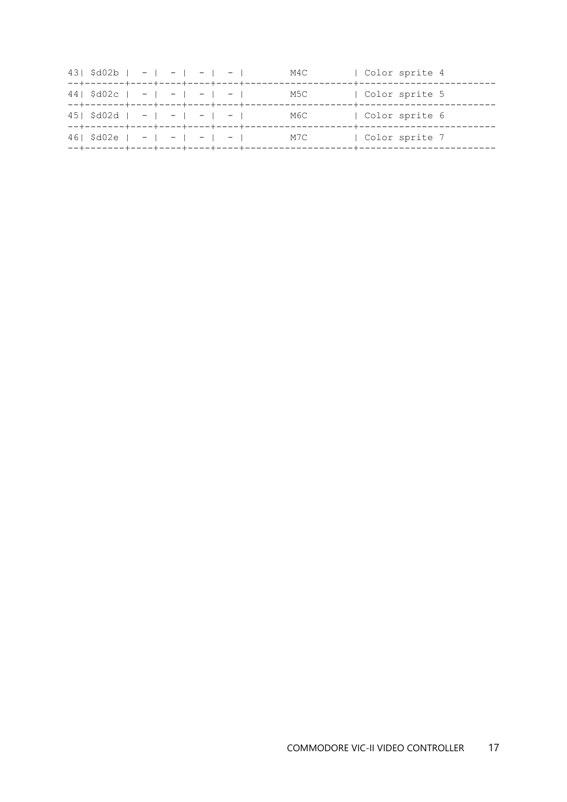| $43$   \$d02b   -   -   -   - |  |  | M4C | Color sprite 4                     |
|-------------------------------|--|--|-----|------------------------------------|
| $44$   \$d02c   -   -   -   - |  |  | M5C | Color sprite 5                     |
| $45$   \$d02d   -   -   -   - |  |  | М6С | Color sprite 6<br>--+------------- |
| $461$ \$d02e   -   -   -   -  |  |  | M7C | Color sprite 7                     |
|                               |  |  |     |                                    |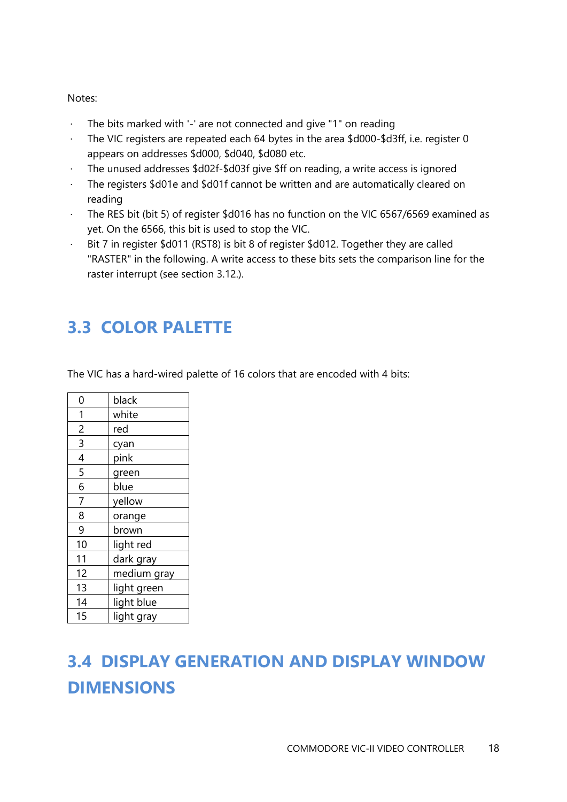#### Notes:

- · The bits marked with '-' are not connected and give "1" on reading
- The VIC registers are repeated each 64 bytes in the area \$d000-\$d3ff, i.e. register 0 appears on addresses \$d000, \$d040, \$d080 etc.
- The unused addresses \$d02f-\$d03f give \$ff on reading, a write access is ignored
- · The registers \$d01e and \$d01f cannot be written and are automatically cleared on reading
- · The RES bit (bit 5) of register \$d016 has no function on the VIC 6567/6569 examined as yet. On the 6566, this bit is used to stop the VIC.
- · Bit 7 in register \$d011 (RST8) is bit 8 of register \$d012. Together they are called "RASTER" in the following. A write access to these bits sets the comparison line for the raster interrupt (see section 3.12.).

# <span id="page-17-0"></span>**3.3 COLOR PALETTE**

The VIC has a hard-wired palette of 16 colors that are encoded with 4 bits:

| 0              | black       |
|----------------|-------------|
| 1              | white       |
| $\overline{c}$ | red         |
| $\overline{3}$ | cyan        |
| 4              | pink        |
| 5              | green       |
| 6              | blue        |
| $\overline{7}$ | yellow      |
| 8              | orange      |
| 9              | brown       |
| 10             | light red   |
| 11             | dark gray   |
| 12             | medium gray |
| 13             | light green |
| 14             | light blue  |
| 15             | light gray  |

# <span id="page-17-1"></span>**3.4 DISPLAY GENERATION AND DISPLAY WINDOW DIMENSIONS**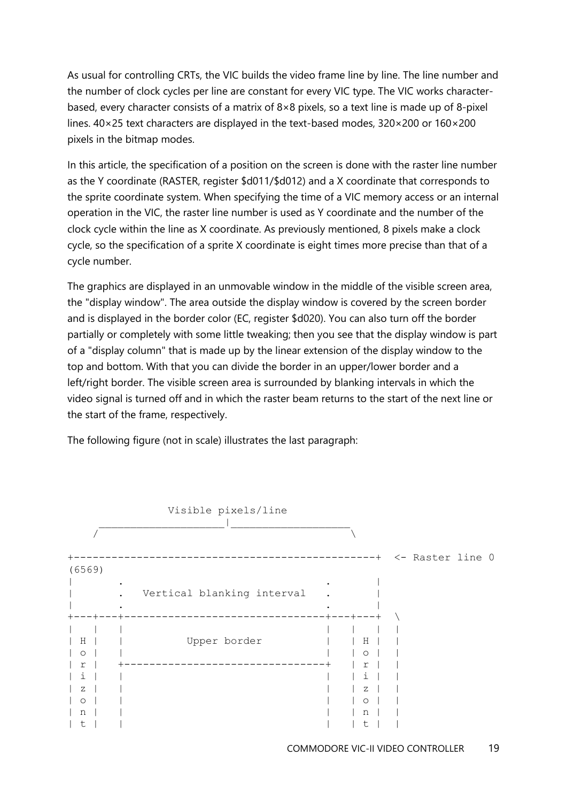As usual for controlling CRTs, the VIC builds the video frame line by line. The line number and the number of clock cycles per line are constant for every VIC type. The VIC works characterbased, every character consists of a matrix of 8×8 pixels, so a text line is made up of 8-pixel lines. 40×25 text characters are displayed in the text-based modes, 320×200 or 160×200 pixels in the bitmap modes.

In this article, the specification of a position on the screen is done with the raster line number as the Y coordinate (RASTER, register \$d011/\$d012) and a X coordinate that corresponds to the sprite coordinate system. When specifying the time of a VIC memory access or an internal operation in the VIC, the raster line number is used as Y coordinate and the number of the clock cycle within the line as X coordinate. As previously mentioned, 8 pixels make a clock cycle, so the specification of a sprite X coordinate is eight times more precise than that of a cycle number.

The graphics are displayed in an unmovable window in the middle of the visible screen area, the "display window". The area outside the display window is covered by the screen border and is displayed in the border color (EC, register \$d020). You can also turn off the border partially or completely with some little tweaking; then you see that the display window is part of a "display column" that is made up by the linear extension of the display window to the top and bottom. With that you can divide the border in an upper/lower border and a left/right border. The visible screen area is surrounded by blanking intervals in which the video signal is turned off and in which the raster beam returns to the start of the next line or the start of the frame, respectively.



The following figure (not in scale) illustrates the last paragraph: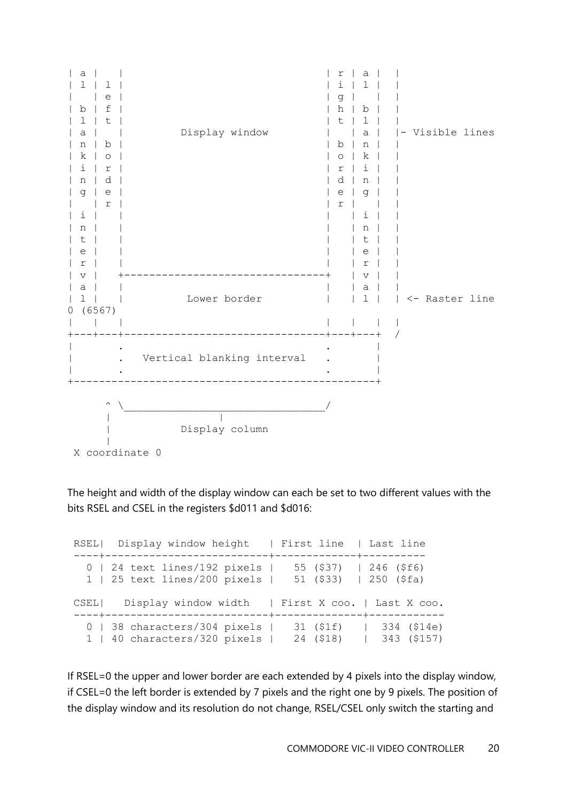

The height and width of the display window can each be set to two different values with the bits RSEL and CSEL in the registers \$d011 and \$d016:

RSEL| Display window height | First line | Last line ----+--------------------------+-------------+---------- 0 | 24 text lines/192 pixels | 55 (\$37) | 246 (\$f6) 1 | 25 text lines/200 pixels | 51 (\$33) | 250 (\$fa) CSEL| Display window width | First X coo. | Last X coo. ----+--------------------------+--------------+------------ 0 | 38 characters/304 pixels | 31 (\$1f) | 334 (\$14e) 1 | 40 characters/320 pixels | 24 (\$18) | 343 (\$157)

If RSEL=0 the upper and lower border are each extended by 4 pixels into the display window, if CSEL=0 the left border is extended by 7 pixels and the right one by 9 pixels. The position of the display window and its resolution do not change, RSEL/CSEL only switch the starting and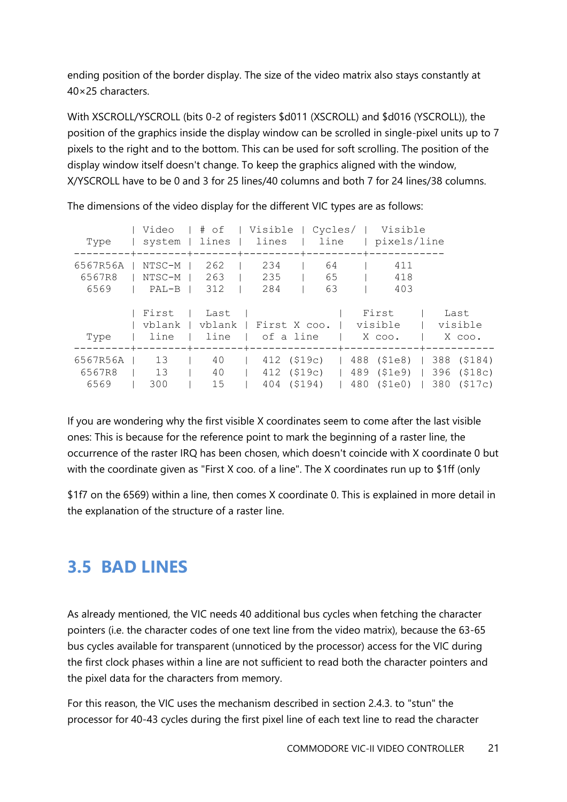ending position of the border display. The size of the video matrix also stays constantly at 40×25 characters.

With XSCROLL/YSCROLL (bits 0-2 of registers \$d011 (XSCROLL) and \$d016 (YSCROLL)), the position of the graphics inside the display window can be scrolled in single-pixel units up to 7 pixels to the right and to the bottom. This can be used for soft scrolling. The position of the display window itself doesn't change. To keep the graphics aligned with the window, X/YSCROLL have to be 0 and 3 for 25 lines/40 columns and both 7 for 24 lines/38 columns.

|                    | Type   system   lines   lines   line   pixels/line                                        |                  |                              | Video   # of   Visible   Cycles/   Visible                                               |                   |                                                                                             |
|--------------------|-------------------------------------------------------------------------------------------|------------------|------------------------------|------------------------------------------------------------------------------------------|-------------------|---------------------------------------------------------------------------------------------|
| 6569               | 6567R56A   NTSC-M   262  <br>6567R8   NTSC-M   263  <br>$\vert$ PAL-B $\vert$ 312 $\vert$ |                  | 234<br>$235$ $\qquad$<br>284 | 64<br>65<br>63                                                                           | 411<br>418<br>403 |                                                                                             |
| Type               | First   Last                                                                              |                  |                              | vblank   vblank   First X coo.   visible   visible<br>  line   line   of a line   X coo. | First             | Last<br>$\mathsf{X}$ coo.                                                                   |
| 6567R56A  <br>6569 | 13<br>6567R8   13  <br>300                                                                | 40<br>40<br>$15$ |                              | $\vert$ 412 (\$19c)   489 (\$1e9)  <br>404 (\$194)                                       |                   | $\vert$ 412 (\$19c)   488 (\$1e8)   388 (\$184)<br>396 (\$18c)<br>480 (\$1e0)   380 (\$17c) |

The dimensions of the video display for the different VIC types are as follows:

If you are wondering why the first visible X coordinates seem to come after the last visible ones: This is because for the reference point to mark the beginning of a raster line, the occurrence of the raster IRQ has been chosen, which doesn't coincide with X coordinate 0 but with the coordinate given as "First X coo. of a line". The X coordinates run up to \$1ff (only

\$1f7 on the 6569) within a line, then comes X coordinate 0. This is explained in more detail in the explanation of the structure of a raster line.

### <span id="page-20-0"></span>**3.5 BAD LINES**

As already mentioned, the VIC needs 40 additional bus cycles when fetching the character pointers (i.e. the character codes of one text line from the video matrix), because the 63-65 bus cycles available for transparent (unnoticed by the processor) access for the VIC during the first clock phases within a line are not sufficient to read both the character pointers and the pixel data for the characters from memory.

For this reason, the VIC uses the mechanism described in section 2.4.3. to "stun" the processor for 40-43 cycles during the first pixel line of each text line to read the character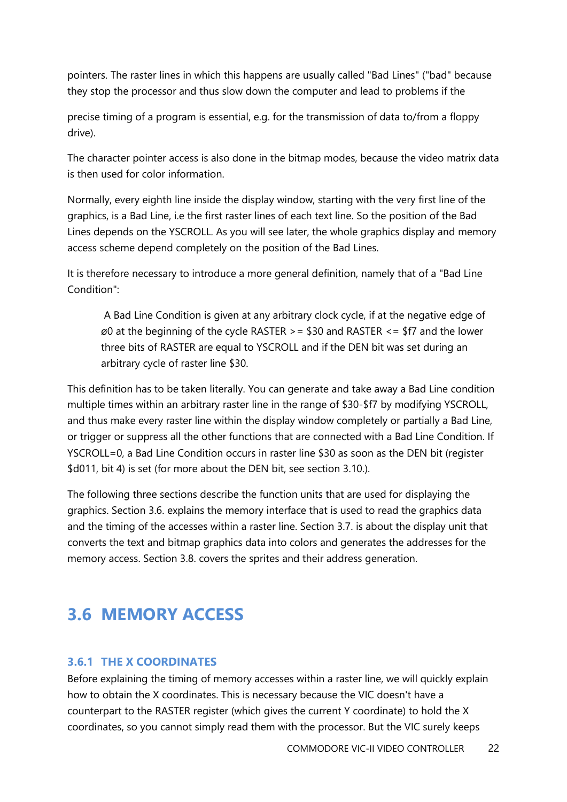pointers. The raster lines in which this happens are usually called "Bad Lines" ("bad" because they stop the processor and thus slow down the computer and lead to problems if the

precise timing of a program is essential, e.g. for the transmission of data to/from a floppy drive).

The character pointer access is also done in the bitmap modes, because the video matrix data is then used for color information.

Normally, every eighth line inside the display window, starting with the very first line of the graphics, is a Bad Line, i.e the first raster lines of each text line. So the position of the Bad Lines depends on the YSCROLL. As you will see later, the whole graphics display and memory access scheme depend completely on the position of the Bad Lines.

It is therefore necessary to introduce a more general definition, namely that of a "Bad Line Condition":

A Bad Line Condition is given at any arbitrary clock cycle, if at the negative edge of  $\varnothing$  at the beginning of the cycle RASTER > = \$30 and RASTER <= \$f7 and the lower three bits of RASTER are equal to YSCROLL and if the DEN bit was set during an arbitrary cycle of raster line \$30.

This definition has to be taken literally. You can generate and take away a Bad Line condition multiple times within an arbitrary raster line in the range of \$30-\$f7 by modifying YSCROLL, and thus make every raster line within the display window completely or partially a Bad Line, or trigger or suppress all the other functions that are connected with a Bad Line Condition. If YSCROLL=0, a Bad Line Condition occurs in raster line \$30 as soon as the DEN bit (register \$d011, bit 4) is set (for more about the DEN bit, see section 3.10.).

The following three sections describe the function units that are used for displaying the graphics. Section 3.6. explains the memory interface that is used to read the graphics data and the timing of the accesses within a raster line. Section 3.7. is about the display unit that converts the text and bitmap graphics data into colors and generates the addresses for the memory access. Section 3.8. covers the sprites and their address generation.

# <span id="page-21-0"></span>**3.6 MEMORY ACCESS**

#### <span id="page-21-1"></span>**3.6.1 THE X COORDINATES**

Before explaining the timing of memory accesses within a raster line, we will quickly explain how to obtain the X coordinates. This is necessary because the VIC doesn't have a counterpart to the RASTER register (which gives the current Y coordinate) to hold the X coordinates, so you cannot simply read them with the processor. But the VIC surely keeps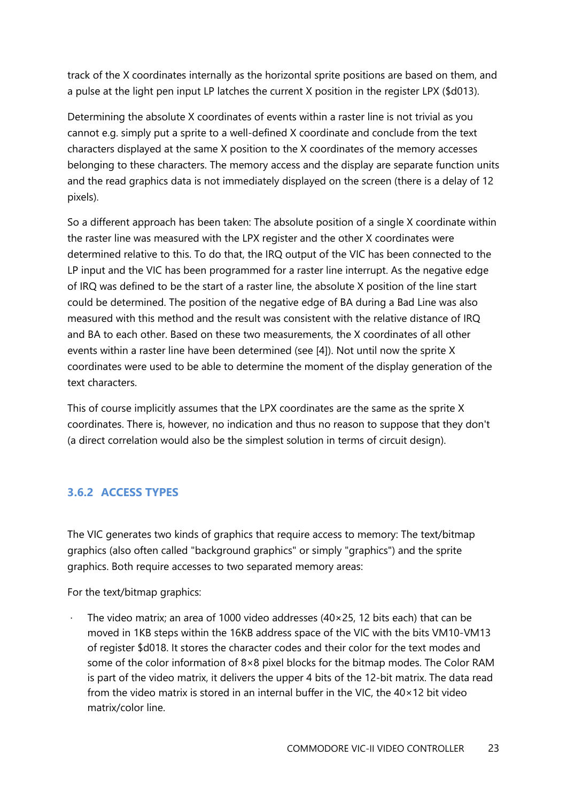track of the X coordinates internally as the horizontal sprite positions are based on them, and a pulse at the light pen input LP latches the current X position in the register LPX (\$d013).

Determining the absolute X coordinates of events within a raster line is not trivial as you cannot e.g. simply put a sprite to a well-defined X coordinate and conclude from the text characters displayed at the same X position to the X coordinates of the memory accesses belonging to these characters. The memory access and the display are separate function units and the read graphics data is not immediately displayed on the screen (there is a delay of 12 pixels).

So a different approach has been taken: The absolute position of a single X coordinate within the raster line was measured with the LPX register and the other X coordinates were determined relative to this. To do that, the IRQ output of the VIC has been connected to the LP input and the VIC has been programmed for a raster line interrupt. As the negative edge of IRQ was defined to be the start of a raster line, the absolute X position of the line start could be determined. The position of the negative edge of BA during a Bad Line was also measured with this method and the result was consistent with the relative distance of IRQ and BA to each other. Based on these two measurements, the X coordinates of all other events within a raster line have been determined (see [4]). Not until now the sprite X coordinates were used to be able to determine the moment of the display generation of the text characters.

This of course implicitly assumes that the LPX coordinates are the same as the sprite X coordinates. There is, however, no indication and thus no reason to suppose that they don't (a direct correlation would also be the simplest solution in terms of circuit design).

#### <span id="page-22-0"></span>**3.6.2 ACCESS TYPES**

The VIC generates two kinds of graphics that require access to memory: The text/bitmap graphics (also often called "background graphics" or simply "graphics") and the sprite graphics. Both require accesses to two separated memory areas:

For the text/bitmap graphics:

The video matrix; an area of 1000 video addresses ( $40\times25$ , 12 bits each) that can be moved in 1KB steps within the 16KB address space of the VIC with the bits VM10-VM13 of register \$d018. It stores the character codes and their color for the text modes and some of the color information of  $8\times8$  pixel blocks for the bitmap modes. The Color RAM is part of the video matrix, it delivers the upper 4 bits of the 12-bit matrix. The data read from the video matrix is stored in an internal buffer in the VIC, the 40×12 bit video matrix/color line.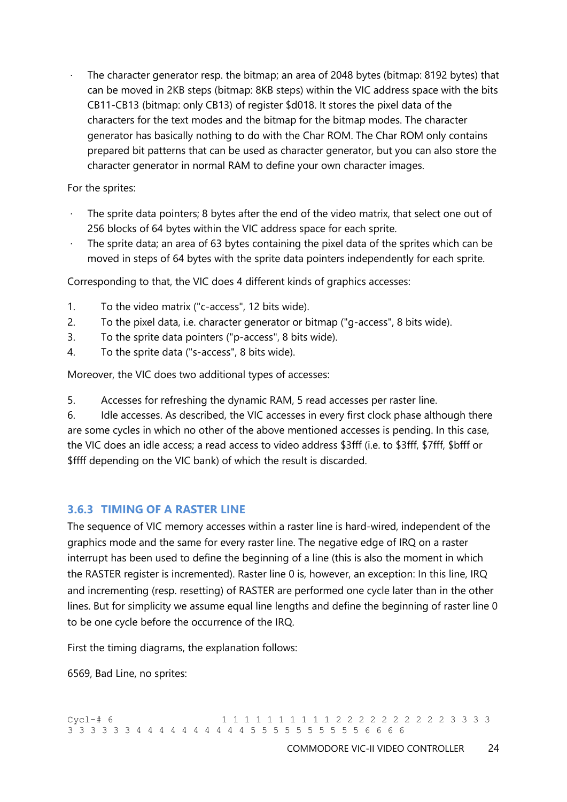The character generator resp. the bitmap; an area of 2048 bytes (bitmap: 8192 bytes) that can be moved in 2KB steps (bitmap: 8KB steps) within the VIC address space with the bits CB11-CB13 (bitmap: only CB13) of register \$d018. It stores the pixel data of the characters for the text modes and the bitmap for the bitmap modes. The character generator has basically nothing to do with the Char ROM. The Char ROM only contains prepared bit patterns that can be used as character generator, but you can also store the character generator in normal RAM to define your own character images.

For the sprites:

- The sprite data pointers; 8 bytes after the end of the video matrix, that select one out of 256 blocks of 64 bytes within the VIC address space for each sprite.
- $\cdot$  The sprite data; an area of 63 bytes containing the pixel data of the sprites which can be moved in steps of 64 bytes with the sprite data pointers independently for each sprite.

Corresponding to that, the VIC does 4 different kinds of graphics accesses:

- 1. To the video matrix ("c-access", 12 bits wide).
- 2. To the pixel data, i.e. character generator or bitmap ("g-access", 8 bits wide).
- 3. To the sprite data pointers ("p-access", 8 bits wide).
- 4. To the sprite data ("s-access", 8 bits wide).

Moreover, the VIC does two additional types of accesses:

5. Accesses for refreshing the dynamic RAM, 5 read accesses per raster line.

6. Idle accesses. As described, the VIC accesses in every first clock phase although there are some cycles in which no other of the above mentioned accesses is pending. In this case, the VIC does an idle access; a read access to video address \$3fff (i.e. to \$3fff, \$7fff, \$bfff or \$ffff depending on the VIC bank) of which the result is discarded.

#### <span id="page-23-0"></span>**3.6.3 TIMING OF A RASTER LINE**

The sequence of VIC memory accesses within a raster line is hard-wired, independent of the graphics mode and the same for every raster line. The negative edge of IRQ on a raster interrupt has been used to define the beginning of a line (this is also the moment in which the RASTER register is incremented). Raster line 0 is, however, an exception: In this line, IRQ and incrementing (resp. resetting) of RASTER are performed one cycle later than in the other lines. But for simplicity we assume equal line lengths and define the beginning of raster line 0 to be one cycle before the occurrence of the IRQ.

First the timing diagrams, the explanation follows:

6569, Bad Line, no sprites: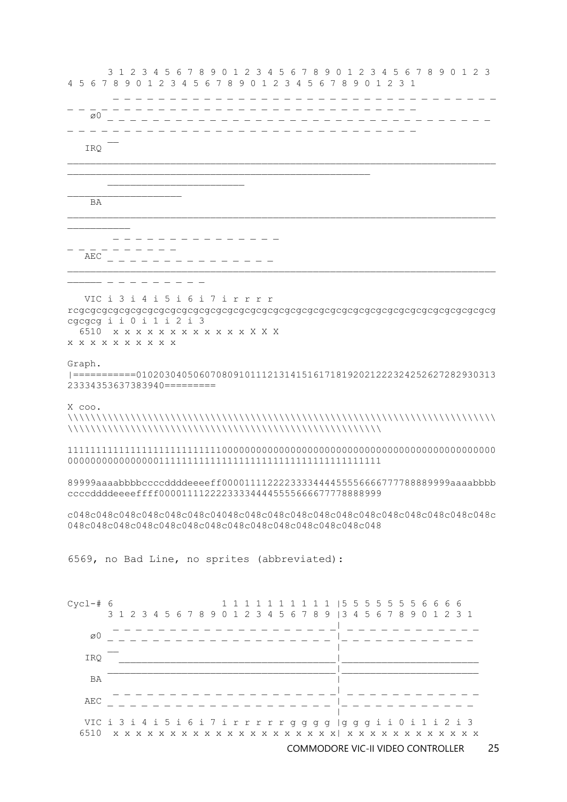

6569, no Bad Line, no sprites (abbreviated):

c048c048c048c048c048c048c04048c048c048c048c048c048c048c048c048c048c048c048c 048c048c048c048c048c048c048c048c048c048c048c048c048c048

89999aaaabbbbccccddddeeeeff0000111122223333444455556666777788889999aaaabbbb ccccddddeeeeffff000011112222333344445555666677778888999

111111111111111111111111111000000000000000000000000000000000000000000000000 0000000000000000111111111111111111111111111111111111111

X coo. \\\\\\\\\\\\\\\\\\\\\\\\\\\\\\\\\\\\\\\\\\\\\\\\\\\\\\\\\\\\\\\\\\\\\\\\\\\ \\\\\\\\\\\\\\\\\\\\\\\\\\\\\\\\\\\\\\\\\\\\\\\\\\\\\\\

Graph. |===========010203040506070809101112131415161718192021222324252627282930313 23334353637383940=========

cgcgcg i i 0 i 1 i 2 i 3 6510 x x x x x x x x x x x x X X X x x x x x x x x x x

\_\_\_\_ \_ \_ \_ \_ \_ \_ \_ \_ \_

 VIC i 3 i 4 i 5 i 6 i 7 i r r r r rcgcgcgcgcgcgcgcgcgcgcgcgcgcgcgcgcgcgcgcgcgcgcgcgcgcgcgcgcgcgcgcgcgcgcgcgcg

 BA \_ \_ \_ \_ \_ \_ \_ \_ \_ \_ \_ \_ \_ \_ \_ \_ \_ \_ \_ \_ \_ \_ \_ \_ \_ AEC \_ \_ \_ \_ \_ \_ \_ \_ \_ \_ \_ \_ \_ \_ \_

\_ \_ \_ \_ \_ \_ \_ \_ \_ \_ \_ \_ \_ \_ \_ \_ \_ \_ \_ \_ \_ \_ \_ \_ \_ \_ \_ \_ \_ \_ \_  $\varnothing0$ IRQ

 3 1 2 3 4 5 6 7 8 9 0 1 2 3 4 5 6 7 8 9 0 1 2 3 4 5 6 7 8 9 0 1 2 3 4 5 6 7 8 9 0 1 2 3 4 5 6 7 8 9 0 1 2 3 4 5 6 7 8 9 0 1 2 3 1

\_ \_ \_ \_ \_ \_ \_ \_ \_ \_ \_ \_ \_ \_ \_ \_ \_ \_ \_ \_ \_ \_ \_ \_ \_ \_ \_ \_ \_ \_ \_ \_ \_ \_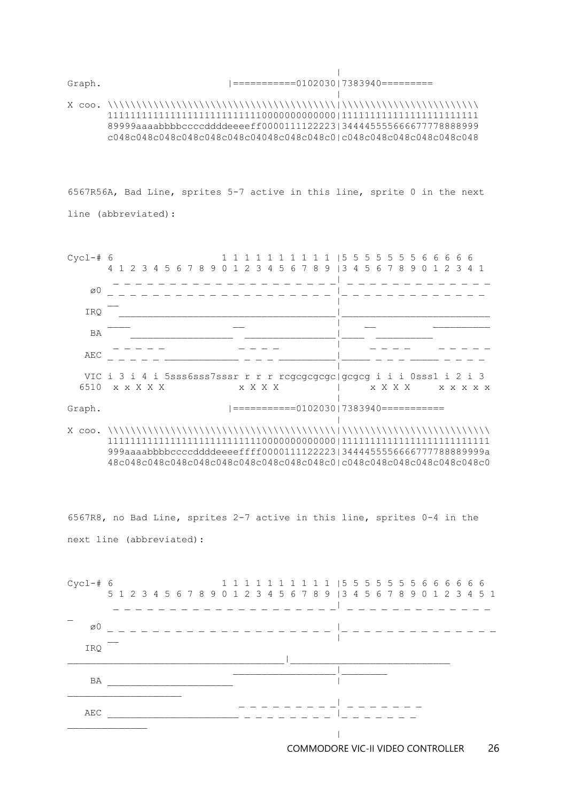| Graph. |===========0102030|7383940=========

 | X coo. \\\\\\\\\\\\\\\\\\\\\\\\\\\\\\\\\\\\\\\\|\\\\\\\\\\\\\\\\\\\\\\\\ 1111111111111111111111111110000000000000|111111111111111111111111 89999aaaabbbbccccddddeeeeff0000111122223|344445555666677778888999 c048c048c048c048c048c048c04048c048c048c0|c048c048c048c048c048c048

6567R56A, Bad Line, sprites 5-7 active in this line, sprite 0 in the next line (abbreviated):



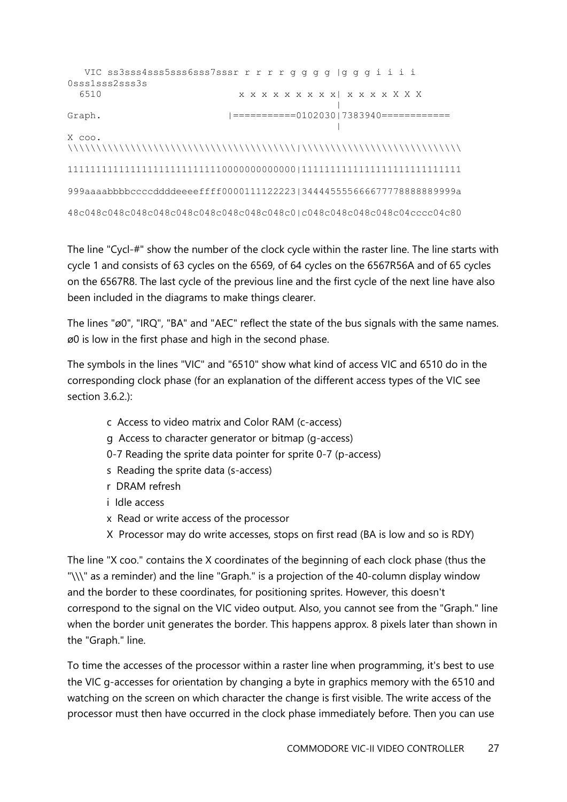```
 VIC ss3sss4sss5sss6sss7sssr r r r r g g g g |g g g i i i i 
0sss1sss2sss3s
  6510 x x x x x x x x x| x x x x X X X
 |
Graph. |===========0102030|7383940============
                                        |
X coo. 
\\\\\\\\\\\\\\\\\\\\\\\\\\\\\\\\\\\\\\\\|\\\\\\\\\\\\\\\\\\\\\\\\\\\\
1111111111111111111111111110000000000000|1111111111111111111111111111
999aaaabbbbccccddddeeeeffff0000111122223|344445555666677778888889999a
48c048c048c048c048c048c048c048c048c048c0|c048c048c048c048c04cccc04c80
```
The line "Cycl-#" show the number of the clock cycle within the raster line. The line starts with cycle 1 and consists of 63 cycles on the 6569, of 64 cycles on the 6567R56A and of 65 cycles on the 6567R8. The last cycle of the previous line and the first cycle of the next line have also been included in the diagrams to make things clearer.

The lines "ø0", "IRQ", "BA" and "AEC" reflect the state of the bus signals with the same names. ø0 is low in the first phase and high in the second phase.

The symbols in the lines "VIC" and "6510" show what kind of access VIC and 6510 do in the corresponding clock phase (for an explanation of the different access types of the VIC see section 3.6.2.):

- c Access to video matrix and Color RAM (c-access)
- g Access to character generator or bitmap (g-access)
- 0-7 Reading the sprite data pointer for sprite 0-7 (p-access)
- s Reading the sprite data (s-access)
- r DRAM refresh
- i Idle access
- x Read or write access of the processor
- X Processor may do write accesses, stops on first read (BA is low and so is RDY)

The line "X coo." contains the X coordinates of the beginning of each clock phase (thus the "\\\" as a reminder) and the line "Graph." is a projection of the 40-column display window and the border to these coordinates, for positioning sprites. However, this doesn't correspond to the signal on the VIC video output. Also, you cannot see from the "Graph." line when the border unit generates the border. This happens approx. 8 pixels later than shown in the "Graph." line.

To time the accesses of the processor within a raster line when programming, it's best to use the VIC g-accesses for orientation by changing a byte in graphics memory with the 6510 and watching on the screen on which character the change is first visible. The write access of the processor must then have occurred in the clock phase immediately before. Then you can use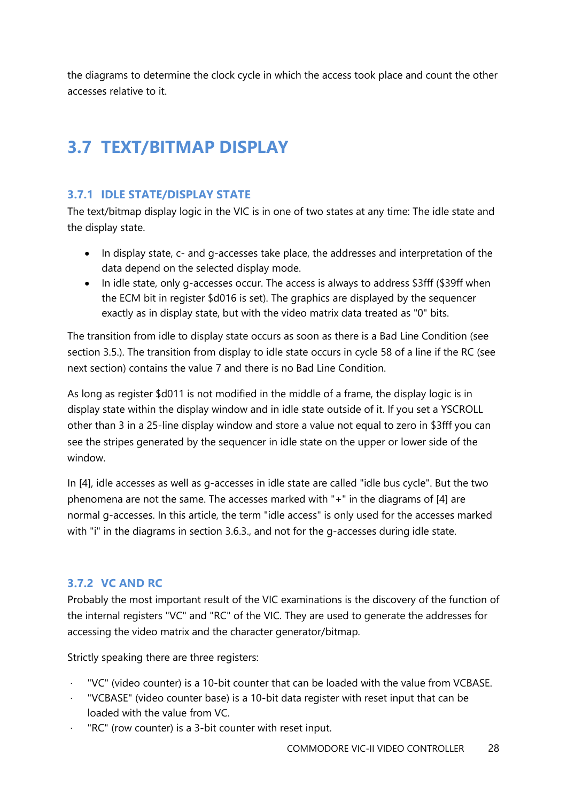the diagrams to determine the clock cycle in which the access took place and count the other accesses relative to it.

# <span id="page-27-0"></span>**3.7 TEXT/BITMAP DISPLAY**

#### <span id="page-27-1"></span>**3.7.1 IDLE STATE/DISPLAY STATE**

The text/bitmap display logic in the VIC is in one of two states at any time: The idle state and the display state.

- In display state, c- and g-accesses take place, the addresses and interpretation of the data depend on the selected display mode.
- In idle state, only g-accesses occur. The access is always to address \$3fff (\$39ff when the ECM bit in register \$d016 is set). The graphics are displayed by the sequencer exactly as in display state, but with the video matrix data treated as "0" bits.

The transition from idle to display state occurs as soon as there is a Bad Line Condition (see section 3.5.). The transition from display to idle state occurs in cycle 58 of a line if the RC (see next section) contains the value 7 and there is no Bad Line Condition.

As long as register \$d011 is not modified in the middle of a frame, the display logic is in display state within the display window and in idle state outside of it. If you set a YSCROLL other than 3 in a 25-line display window and store a value not equal to zero in \$3fff you can see the stripes generated by the sequencer in idle state on the upper or lower side of the window.

In [4], idle accesses as well as g-accesses in idle state are called "idle bus cycle". But the two phenomena are not the same. The accesses marked with "+" in the diagrams of [4] are normal g-accesses. In this article, the term "idle access" is only used for the accesses marked with "i" in the diagrams in section 3.6.3., and not for the g-accesses during idle state.

#### <span id="page-27-2"></span>**3.7.2 VC AND RC**

Probably the most important result of the VIC examinations is the discovery of the function of the internal registers "VC" and "RC" of the VIC. They are used to generate the addresses for accessing the video matrix and the character generator/bitmap.

Strictly speaking there are three registers:

- · "VC" (video counter) is a 10-bit counter that can be loaded with the value from VCBASE.
- · "VCBASE" (video counter base) is a 10-bit data register with reset input that can be loaded with the value from VC.
- · "RC" (row counter) is a 3-bit counter with reset input.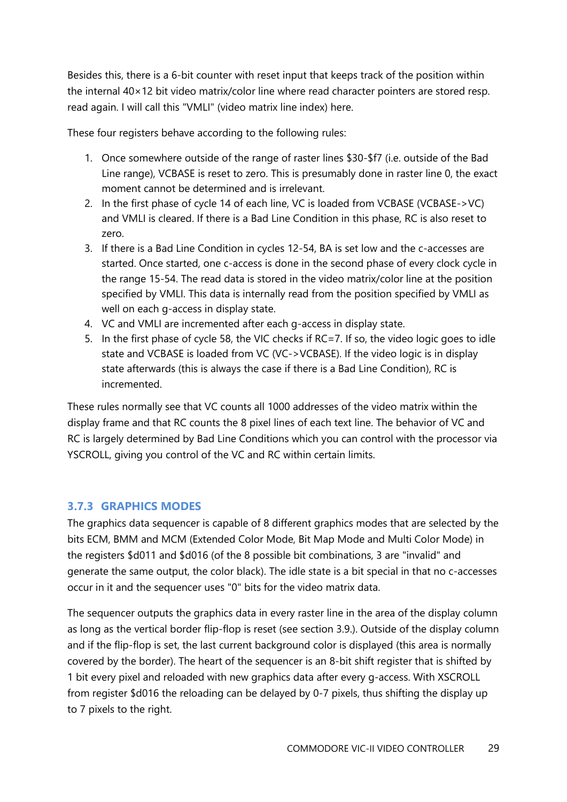Besides this, there is a 6-bit counter with reset input that keeps track of the position within the internal 40×12 bit video matrix/color line where read character pointers are stored resp. read again. I will call this "VMLI" (video matrix line index) here.

These four registers behave according to the following rules:

- 1. Once somewhere outside of the range of raster lines \$30-\$f7 (i.e. outside of the Bad Line range), VCBASE is reset to zero. This is presumably done in raster line 0, the exact moment cannot be determined and is irrelevant.
- 2. In the first phase of cycle 14 of each line, VC is loaded from VCBASE (VCBASE->VC) and VMLI is cleared. If there is a Bad Line Condition in this phase, RC is also reset to zero.
- 3. If there is a Bad Line Condition in cycles 12-54, BA is set low and the c-accesses are started. Once started, one c-access is done in the second phase of every clock cycle in the range 15-54. The read data is stored in the video matrix/color line at the position specified by VMLI. This data is internally read from the position specified by VMLI as well on each g-access in display state.
- 4. VC and VMLI are incremented after each g-access in display state.
- 5. In the first phase of cycle 58, the VIC checks if RC=7. If so, the video logic goes to idle state and VCBASE is loaded from VC (VC->VCBASE). If the video logic is in display state afterwards (this is always the case if there is a Bad Line Condition), RC is incremented.

These rules normally see that VC counts all 1000 addresses of the video matrix within the display frame and that RC counts the 8 pixel lines of each text line. The behavior of VC and RC is largely determined by Bad Line Conditions which you can control with the processor via YSCROLL, giving you control of the VC and RC within certain limits.

#### <span id="page-28-0"></span>**3.7.3 GRAPHICS MODES**

The graphics data sequencer is capable of 8 different graphics modes that are selected by the bits ECM, BMM and MCM (Extended Color Mode, Bit Map Mode and Multi Color Mode) in the registers \$d011 and \$d016 (of the 8 possible bit combinations, 3 are "invalid" and generate the same output, the color black). The idle state is a bit special in that no c-accesses occur in it and the sequencer uses "0" bits for the video matrix data.

The sequencer outputs the graphics data in every raster line in the area of the display column as long as the vertical border flip-flop is reset (see section 3.9.). Outside of the display column and if the flip-flop is set, the last current background color is displayed (this area is normally covered by the border). The heart of the sequencer is an 8-bit shift register that is shifted by 1 bit every pixel and reloaded with new graphics data after every g-access. With XSCROLL from register \$d016 the reloading can be delayed by 0-7 pixels, thus shifting the display up to 7 pixels to the right.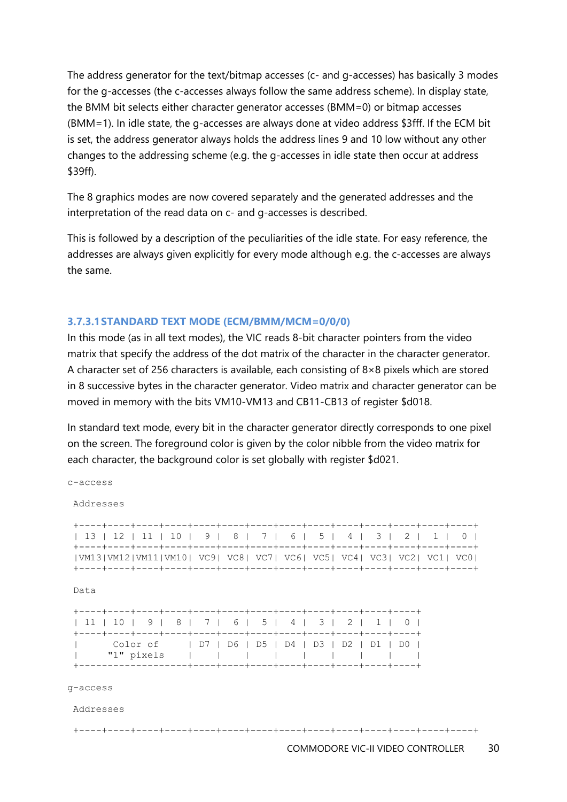The address generator for the text/bitmap accesses (c- and g-accesses) has basically 3 modes for the g-accesses (the c-accesses always follow the same address scheme). In display state, the BMM bit selects either character generator accesses (BMM=0) or bitmap accesses (BMM=1). In idle state, the g-accesses are always done at video address \$3fff. If the ECM bit is set, the address generator always holds the address lines 9 and 10 low without any other changes to the addressing scheme (e.g. the g-accesses in idle state then occur at address \$39ff).

The 8 graphics modes are now covered separately and the generated addresses and the interpretation of the read data on c- and g-accesses is described.

This is followed by a description of the peculiarities of the idle state. For easy reference, the addresses are always given explicitly for every mode although e.g. the c-accesses are always the same.

#### **3.7.3.1STANDARD TEXT MODE (ECM/BMM/MCM=0/0/0)**

In this mode (as in all text modes), the VIC reads 8-bit character pointers from the video matrix that specify the address of the dot matrix of the character in the character generator. A character set of 256 characters is available, each consisting of 8×8 pixels which are stored in 8 successive bytes in the character generator. Video matrix and character generator can be moved in memory with the bits VM10-VM13 and CB11-CB13 of register \$d018.

In standard text mode, every bit in the character generator directly corresponds to one pixel on the screen. The foreground color is given by the color nibble from the video matrix for each character, the background color is set globally with register \$d021.

Addresses +----+----+----+----+----+----+----+----+----+----+----+----+----+----+ | 13 | 12 | 11 | 10 | 9 | 8 | 7 | 6 | 5 | 4 | 3 | 2 | 1 | 0 | +----+----+----+----+----+----+----+----+----+----+----+----+----+----+ |VM13|VM12|VM11|VM10| VC9| VC8| VC7| VC6| VC5| VC4| VC3| VC2| VC1| VC0| +----+----+----+----+----+----+----+----+----+----+----+----+----+----+ Data +----+----+----+----+----+----+----+----+----+----+----+----+ | 11 | 10 | 9 | 8 | 7 | 6 | 5 | 4 | 3 | 2 | 1 | 0 | +----+----+----+----+----+----+----+----+----+----+----+----+ | Color of | D7 | D6 | D5 | D4 | D3 | D2 | D1 | D0 | | "1" pixels | | | | | | | | | +-------------------+----+----+----+----+----+----+----+----+

g-access

c-access

Addresses

#### +----+----+----+----+----+----+----+----+----+----+----+----+----+----+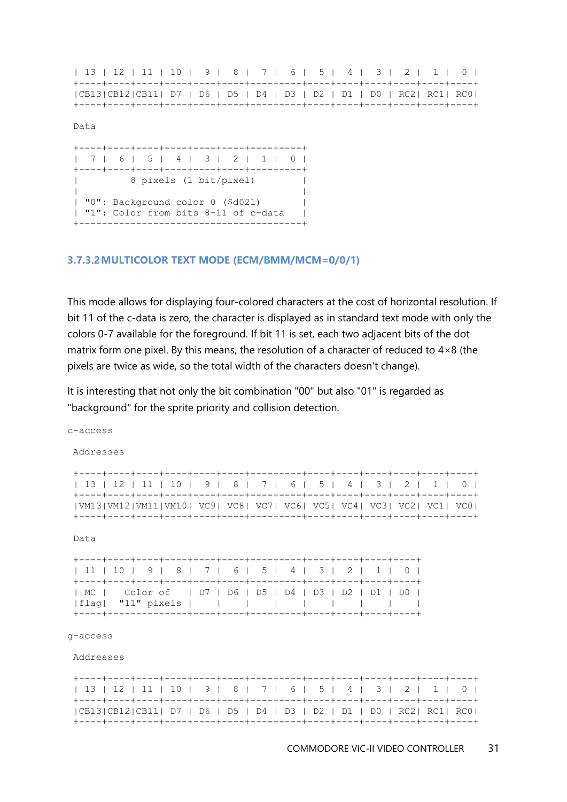| 13   12   11   10   9   8   7   6   5   4   3   2   1   0                |  |  |  |  |  |  |  |  |  |  |  |  |  |
|--------------------------------------------------------------------------|--|--|--|--|--|--|--|--|--|--|--|--|--|
|                                                                          |  |  |  |  |  |  |  |  |  |  |  |  |  |
| $ CB13 CB12 CB11 $ D7   D6   D5   D4   D3   D2   D1   D0   RC2  RC1  RC0 |  |  |  |  |  |  |  |  |  |  |  |  |  |
|                                                                          |  |  |  |  |  |  |  |  |  |  |  |  |  |

Data

+----+----+----+----+----+----+----+----+ | 7 | 6 | 5 | 4 | 3 | 2 | 1 | 0 | +----+----+----+----+----+----+----+----+ | 8 pixels (1 bit/pixel) | | | | "0": Background color 0 (\$d021) | | "1": Color from bits 8-11 of c-data | +---------------------------------------+

#### **3.7.3.2MULTICOLOR TEXT MODE (ECM/BMM/MCM=0/0/1)**

This mode allows for displaying four-colored characters at the cost of horizontal resolution. If bit 11 of the c-data is zero, the character is displayed as in standard text mode with only the colors 0-7 available for the foreground. If bit 11 is set, each two adjacent bits of the dot matrix form one pixel. By this means, the resolution of a character of reduced to 4×8 (the pixels are twice as wide, so the total width of the characters doesn't change).

It is interesting that not only the bit combination "00" but also "01" is regarded as "background" for the sprite priority and collision detection.

| Addresses                                                                         |  |  |  |  |  |
|-----------------------------------------------------------------------------------|--|--|--|--|--|
| 13   12   11   10   9   8   7   6   5   4   3   2   1   0                         |  |  |  |  |  |
| VM13 VM12 VM11 VM10  VC9  VC8  VC7  VC6  VC5  VC4  VC3  VC2  VC1  VC0             |  |  |  |  |  |
| Data                                                                              |  |  |  |  |  |
| 11   10   9   8   7   6   5   4   3   2   1   0                                   |  |  |  |  |  |
| MC     Color of     D7   D6   D5   D4   D3   D2   D1   D0  <br> flaq  "11" pixels |  |  |  |  |  |
|                                                                                   |  |  |  |  |  |

#### g-access

c-access

Addresses

| 13   12   11   10   9   8   7   6   5   4   3   2   1   0                   |  |  |  |  |  |  |  |  |  |  |  |  |
|-----------------------------------------------------------------------------|--|--|--|--|--|--|--|--|--|--|--|--|
| $ CB13 CB12 CB11  D7   D6   D5   D4   D3   D2   D1   D0   RC2   RC1   RC0 $ |  |  |  |  |  |  |  |  |  |  |  |  |
|                                                                             |  |  |  |  |  |  |  |  |  |  |  |  |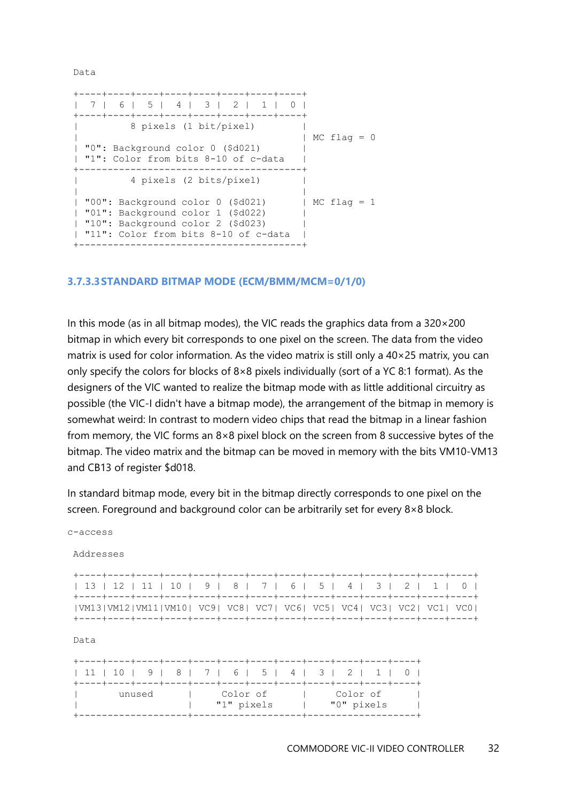Data

```
+----+----+----+----+----+----+----+----+
| 7 | 6 | 5 | 4 | 3 | 2 | 1 | 0 |
+----+----+----+----+----+----+----+----+
| 8 pixels (1 bit/pixel) |
| | MC flag = 0
| "0": Background color 0 ($d021) |
| "1": Color from bits 8-10 of c-data |
+---------------------------------------+
| 4 pixels (2 bits/pixel) |
| |
| "00": Background color 0 ($d021) | MC flag = 1
| "01": Background color 1 ($d022) |
| "10": Background color 2 ($d023) |
| "11": Color from bits 8-10 of c-data |
+---------------------------------------+
```
#### **3.7.3.3STANDARD BITMAP MODE (ECM/BMM/MCM=0/1/0)**

In this mode (as in all bitmap modes), the VIC reads the graphics data from a  $320 \times 200$ bitmap in which every bit corresponds to one pixel on the screen. The data from the video matrix is used for color information. As the video matrix is still only a  $40\times25$  matrix, you can only specify the colors for blocks of 8×8 pixels individually (sort of a YC 8:1 format). As the designers of the VIC wanted to realize the bitmap mode with as little additional circuitry as possible (the VIC-I didn't have a bitmap mode), the arrangement of the bitmap in memory is somewhat weird: In contrast to modern video chips that read the bitmap in a linear fashion from memory, the VIC forms an 8×8 pixel block on the screen from 8 successive bytes of the bitmap. The video matrix and the bitmap can be moved in memory with the bits VM10-VM13 and CB13 of register \$d018.

In standard bitmap mode, every bit in the bitmap directly corresponds to one pixel on the screen. Foreground and background color can be arbitrarily set for every 8×8 block.

c-access

Addresses

| 13   12   11   10   9   8   7   6   5   4   3   2   1   0             |  |  |  |  |  |  |  |  |
|-----------------------------------------------------------------------|--|--|--|--|--|--|--|--|
|                                                                       |  |  |  |  |  |  |  |  |
| VM13 VM12 VM11 VM10  VC9  VC8  VC7  VC6  VC5  VC4  VC3  VC2  VC1  VC0 |  |  |  |  |  |  |  |  |
|                                                                       |  |  |  |  |  |  |  |  |

Data

|  |  |        |  |  |            |  |            |  |  |  |            | 11   10   9   8   7   6   5   4   3   2   1   0 |  |
|--|--|--------|--|--|------------|--|------------|--|--|--|------------|-------------------------------------------------|--|
|  |  |        |  |  |            |  |            |  |  |  |            |                                                 |  |
|  |  | unused |  |  | l Color of |  |            |  |  |  | Color of   |                                                 |  |
|  |  |        |  |  |            |  | "1" pixels |  |  |  | "0" pixels |                                                 |  |
|  |  |        |  |  |            |  |            |  |  |  |            |                                                 |  |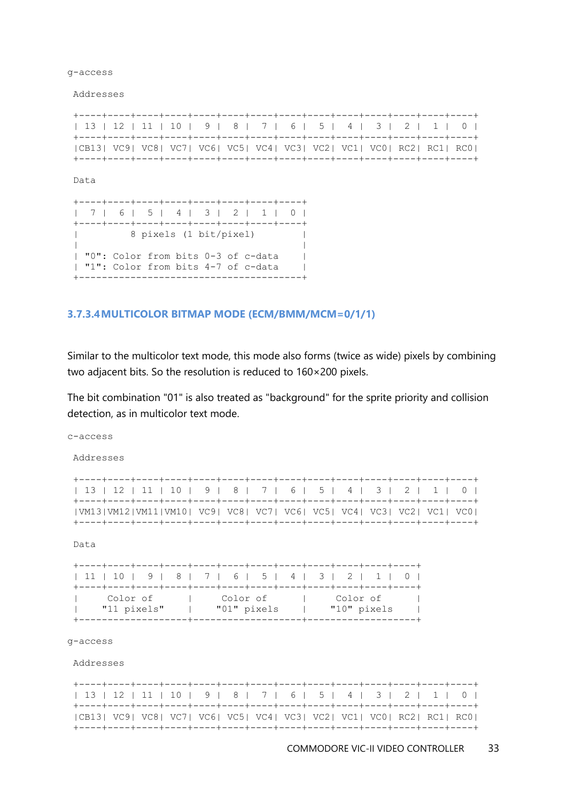g-access

Addresses

| 13   12   11   10   9   8   7   6   5   4   3   2   1   0                            |  |  |  |  |  |  |  |
|--------------------------------------------------------------------------------------|--|--|--|--|--|--|--|
| $ CB13 $ VC9   VC8   VC7   VC6   VC5   VC4   VC3   VC2   VC1   VC0   RC2   RC1   RC0 |  |  |  |  |  |  |  |
|                                                                                      |  |  |  |  |  |  |  |

Data

+----+----+----+----+----+----+----+----+ | 7 | 6 | 5 | 4 | 3 | 2 | 1 | 0 | +----+----+----+----+----+----+----+----+ | 8 pixels (1 bit/pixel) | | | | "0": Color from bits 0-3 of c-data | | "1": Color from bits 4-7 of c-data | +---------------------------------------+

#### **3.7.3.4MULTICOLOR BITMAP MODE (ECM/BMM/MCM=0/1/1)**

Similar to the multicolor text mode, this mode also forms (twice as wide) pixels by combining two adjacent bits. So the resolution is reduced to 160×200 pixels.

The bit combination "01" is also treated as "background" for the sprite priority and collision detection, as in multicolor text mode.

| c-access  |                                                                           |  |  |  |  |  |  |
|-----------|---------------------------------------------------------------------------|--|--|--|--|--|--|
| Addresses |                                                                           |  |  |  |  |  |  |
|           | 13   12   11   10   9   8   7   6   5   4   3   2   1   0                 |  |  |  |  |  |  |
|           | VM13 VM12 VM11 VM10  VC9  VC8  VC7  VC6  VC5  VC4  VC3  VC2  VC1  VC0     |  |  |  |  |  |  |
| Data      |                                                                           |  |  |  |  |  |  |
|           | 11   10   9   8   7   6   5   4   3   2   1   0                           |  |  |  |  |  |  |
|           | Color of I Color of I Color of<br>"11 pixels"   "01" pixels   "10" pixels |  |  |  |  |  |  |
| q-access  |                                                                           |  |  |  |  |  |  |
| Addresses |                                                                           |  |  |  |  |  |  |
|           | 13   12   11   10   9   8   7   6   5   4   3   2   1   0                 |  |  |  |  |  |  |
|           | $ CB13 VC9 VC8 VC7 VC6 VC5 VC4 VC3 VC2 VC1 VC0 RC2 RC1 RC0 $              |  |  |  |  |  |  |

+----+----+----+----+----+----+----+----+----+----+----+----+----+----+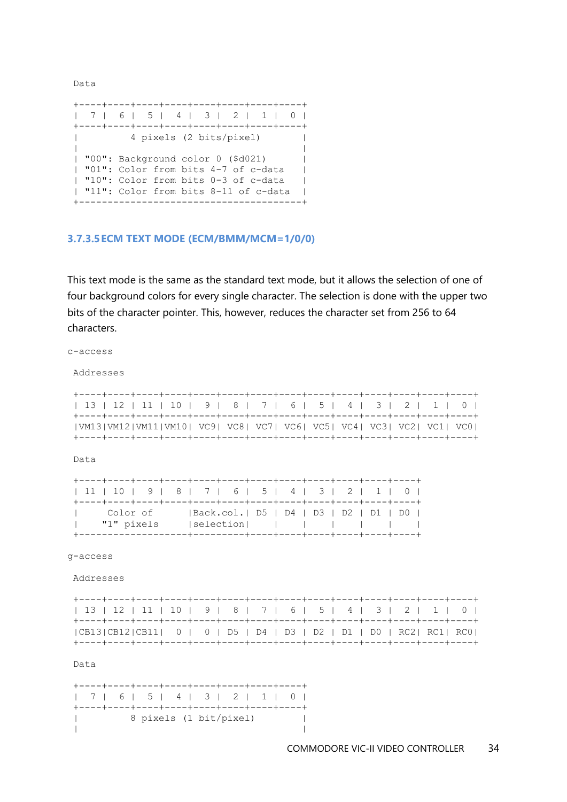Data

|  | 7   6   5   4   3   2   1   0         |  |
|--|---------------------------------------|--|
|  |                                       |  |
|  | 4 pixels (2 bits/pixel)               |  |
|  |                                       |  |
|  | "00": Background color 0 (\$d021)     |  |
|  | l "01": Color from bits 4-7 of c-data |  |
|  | l "10": Color from bits 0-3 of c-data |  |
|  | "11": Color from bits 8-11 of c-data  |  |
|  |                                       |  |

#### **3.7.3.5ECM TEXT MODE (ECM/BMM/MCM=1/0/0)**

This text mode is the same as the standard text mode, but it allows the selection of one of four background colors for every single character. The selection is done with the upper two bits of the character pointer. This, however, reduces the character set from 256 to 64 characters.

c-access

Addresses

| 13   12   11   10   9   8   7   6   5   4   3   2   1   0             |  |  |  |  |  |  |  |  |  |  |  |
|-----------------------------------------------------------------------|--|--|--|--|--|--|--|--|--|--|--|
|                                                                       |  |  |  |  |  |  |  |  |  |  |  |
| VM13 VM12 VM11 VM10  VC9  VC8  VC7  VC6  VC5  VC4  VC3  VC2  VC1  VC0 |  |  |  |  |  |  |  |  |  |  |  |
|                                                                       |  |  |  |  |  |  |  |  |  |  |  |

Data

| 11   10   9   8   7   6   5   4   3   2   1   0 |            |                                        |  |  |  |  |
|-------------------------------------------------|------------|----------------------------------------|--|--|--|--|
|                                                 |            |                                        |  |  |  |  |
| l Color of                                      |            | Back.col.  D5   D4   D3   D2   D1   D0 |  |  |  |  |
| $\mathcal{L}(\mathcal{L})$                      | "1" pixels |                                        |  |  |  |  |
|                                                 |            |                                        |  |  |  |  |

g-access

Addresses

| 13   12   11   10   9   8   7   6   5   4   3   2   1   0              |  |  |  |  |  |  |
|------------------------------------------------------------------------|--|--|--|--|--|--|
| $ CB13 CB12 CB11 $ 0   0   D5   D4   D3   D2   D1   D0   RC2  RC1  RC0 |  |  |  |  |  |  |
|                                                                        |  |  |  |  |  |  |

Data

+----+----+----+----+----+----+----+----+ | 7 | 6 | 5 | 4 | 3 | 2 | 1 | 0 | +----+----+----+----+----+----+----+----+ | 8 pixels (1 bit/pixel) | | |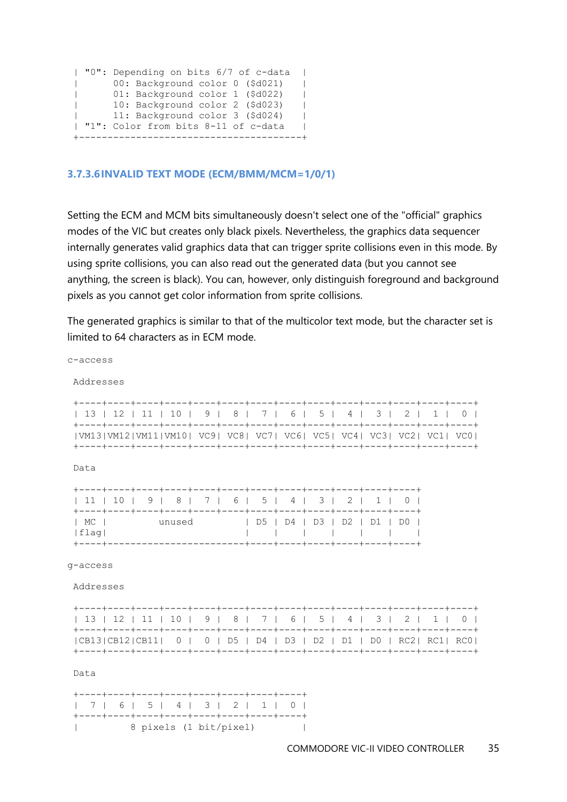|              | "0": Depending on bits 6/7 of c-data | L |
|--------------|--------------------------------------|---|
| $\mathbf{L}$ | 00: Background color 0 (\$d021)      |   |
| $\mathbf{L}$ | 01: Background color 1 (\$d022)      |   |
| $\mathbf{L}$ | 10: Background color 2 (\$d023)      |   |
| $\mathbf{L}$ | 11: Background color 3 (\$d024)      |   |
|              | "1": Color from bits 8-11 of c-data  |   |
|              |                                      |   |

#### **3.7.3.6INVALID TEXT MODE (ECM/BMM/MCM=1/0/1)**

c-access

Setting the ECM and MCM bits simultaneously doesn't select one of the "official" graphics modes of the VIC but creates only black pixels. Nevertheless, the graphics data sequencer internally generates valid graphics data that can trigger sprite collisions even in this mode. By using sprite collisions, you can also read out the generated data (but you cannot see anything, the screen is black). You can, however, only distinguish foreground and background pixels as you cannot get color information from sprite collisions.

The generated graphics is similar to that of the multicolor text mode, but the character set is limited to 64 characters as in ECM mode.

Addresses +----+----+----+----+----+----+----+----+----+----+----+----+----+----+ | 13 | 12 | 11 | 10 | 9 | 8 | 7 | 6 | 5 | 4 | 3 | 2 | 1 | 0 | +----+----+----+----+----+----+----+----+----+----+----+----+----+----+ |VM13|VM12|VM11|VM10| VC9| VC8| VC7| VC6| VC5| VC4| VC3| VC2| VC1| VC0| +----+----+----+----+----+----+----+----+----+----+----+----+----+----+ Data +----+----+----+----+----+----+----+----+----+----+----+----+ | 11 | 10 | 9 | 8 | 7 | 6 | 5 | 4 | 3 | 2 | 1 | 0 | +----+----+----+----+----+----+----+----+----+----+----+----+ | MC | unused | D5 | D4 | D3 | D2 | D1 | D0 | |flag| | | | | | | | +----+------------------------+----+----+----+----+----+----+ g-access Addresses +----+----+----+----+----+----+----+----+----+----+----+----+----+----+ | 13 | 12 | 11 | 10 | 9 | 8 | 7 | 6 | 5 | 4 | 3 | 2 | 1 | 0 | +----+----+----+----+----+----+----+----+----+----+----+----+----+----+ |CB13|CB12|CB11| 0 | 0 | D5 | D4 | D3 | D2 | D1 | D0 | RC2| RC1| RC0| +----+----+----+----+----+----+----+----+----+----+----+----+----+----+ Data +----+----+----+----+----+----+----+----+ | 7 | 6 | 5 | 4 | 3 | 2 | 1 | 0 | +----+----+----+----+----+----+----+----+ | 8 pixels (1 bit/pixel) |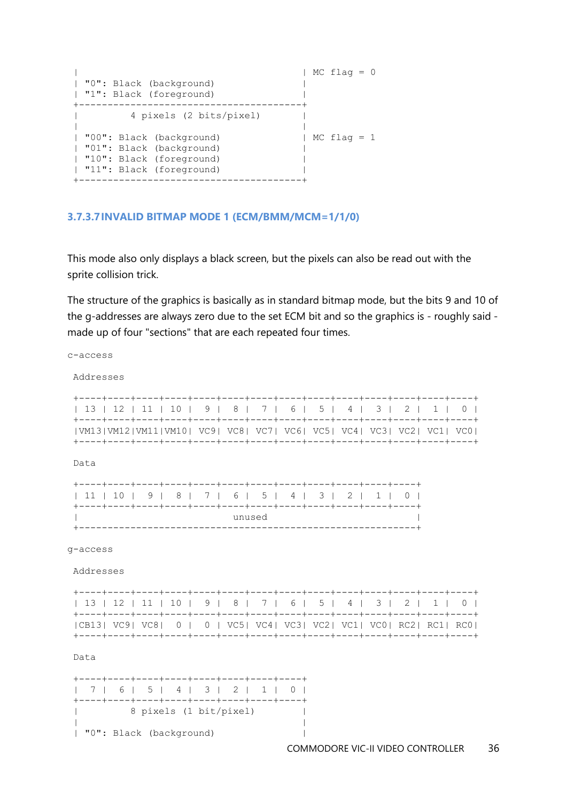| | MC flag = 0 | "0": Black (background) | | "1": Black (foreground) | +---------------------------------------+ | 4 pixels (2 bits/pixel) | | | | "00": Black (background) | MC flag = 1 | "01": Black (background) | | "10": Black (foreground) | | "11": Black (foreground) | +---------------------------------------+

#### **3.7.3.7INVALID BITMAP MODE 1 (ECM/BMM/MCM=1/1/0)**

This mode also only displays a black screen, but the pixels can also be read out with the sprite collision trick.

The structure of the graphics is basically as in standard bitmap mode, but the bits 9 and 10 of the g-addresses are always zero due to the set ECM bit and so the graphics is - roughly said made up of four "sections" that are each repeated four times.

| c-access              |  |                                                                                |  |  |        |  |  |  |  |
|-----------------------|--|--------------------------------------------------------------------------------|--|--|--------|--|--|--|--|
| Addresses             |  |                                                                                |  |  |        |  |  |  |  |
|                       |  | 13   12   11   10   9   8   7   6   5   4   3   2   1   0                      |  |  |        |  |  |  |  |
|                       |  | VM13 VM12 VM11 VM10  VC9  VC8  VC7  VC6  VC5  VC4  VC3  VC2  VC1  VC0          |  |  |        |  |  |  |  |
| Data                  |  |                                                                                |  |  |        |  |  |  |  |
|                       |  | 11   10   9   8   7   6   5   4   3   2   1   0                                |  |  |        |  |  |  |  |
|                       |  |                                                                                |  |  | unused |  |  |  |  |
| q-access<br>Addresses |  |                                                                                |  |  |        |  |  |  |  |
|                       |  | 13   12   11   10   9   8   7   6   5   4   3   2   1   0                      |  |  |        |  |  |  |  |
|                       |  | $ CB13 VC9 VC8 0 0 VC5 VC4 VC3 VC2 VC1 VC0 RC2 RC1 RC0 $                       |  |  |        |  |  |  |  |
| Data                  |  |                                                                                |  |  |        |  |  |  |  |
|                       |  | 7   6   5   4   3   2   1   0  <br>+----+----+----+----+----+----+----+---+--- |  |  |        |  |  |  |  |
|                       |  | 8 pixels (1 bit/pixel)                                                         |  |  |        |  |  |  |  |
|                       |  | "0": Black (background)                                                        |  |  |        |  |  |  |  |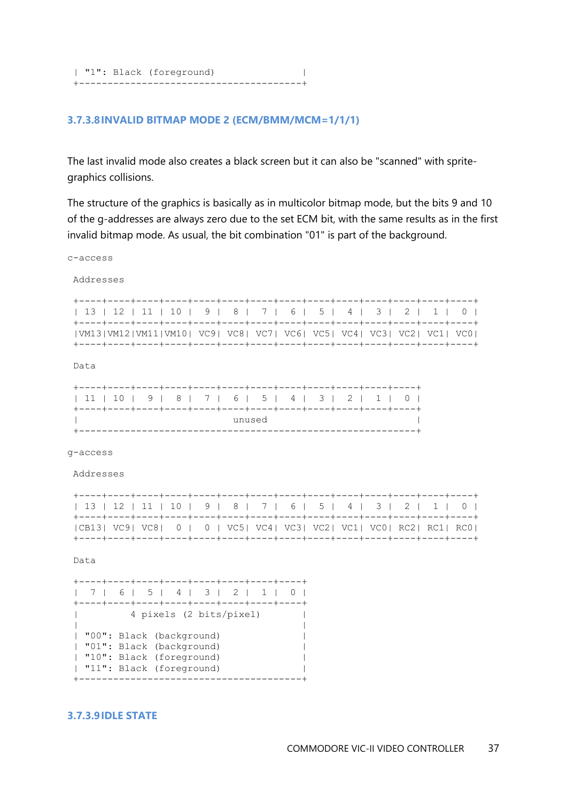| "1": Black (foreground) | +---------------------------------------+

#### **3.7.3.8INVALID BITMAP MODE 2 (ECM/BMM/MCM=1/1/1)**

The last invalid mode also creates a black screen but it can also be "scanned" with spritegraphics collisions.

The structure of the graphics is basically as in multicolor bitmap mode, but the bits 9 and 10 of the g-addresses are always zero due to the set ECM bit, with the same results as in the first invalid bitmap mode. As usual, the bit combination "01" is part of the background.

c-access

Addresses

|  |  |  |  |  |  | 13   12   11   10   9   8   7   6   5   4   3   2   1   0             |
|--|--|--|--|--|--|-----------------------------------------------------------------------|
|  |  |  |  |  |  |                                                                       |
|  |  |  |  |  |  | VM13 VM12 VM11 VM10  VC9  VC8  VC7  VC6  VC5  VC4  VC3  VC2  VC1  VC0 |
|  |  |  |  |  |  |                                                                       |

Data

|  |  |  |  |  |  |        |  |  | 11   10   9   8   7   6   5   4   3   2   1   0 |  |  |  |  |
|--|--|--|--|--|--|--------|--|--|-------------------------------------------------|--|--|--|--|
|  |  |  |  |  |  |        |  |  |                                                 |  |  |  |  |
|  |  |  |  |  |  | unused |  |  |                                                 |  |  |  |  |
|  |  |  |  |  |  |        |  |  |                                                 |  |  |  |  |

g-access

Addresses

| 13   12   11   10   9   8   7   6   5   4   3   2   1   0 |  |  |  |  |  |  |  |  |
|-----------------------------------------------------------|--|--|--|--|--|--|--|--|
|                                                           |  |  |  |  |  |  |  |  |
| $ CB13 VC9 VC8 0 0 VC5 VC4 VC3 VC2 VC1 VC0 RC2 RC1 RC0 $  |  |  |  |  |  |  |  |  |
|                                                           |  |  |  |  |  |  |  |  |

Data

+----+----+----+----+----+----+----+----+ | 7 | 6 | 5 | 4 | 3 | 2 | 1 | 0 | +----+----+----+----+----+----+----+----+ | 4 pixels (2 bits/pixel) | | | | "00": Black (background) | | "01": Black (background) | | "10": Black (foreground) | | "11": Black (foreground) | +---------------------------------------+

#### **3.7.3.9IDLE STATE**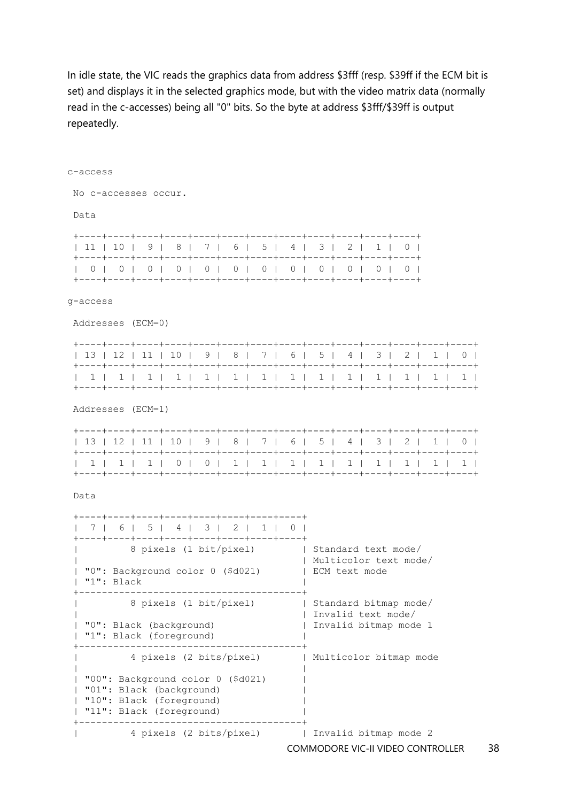In idle state, the VIC reads the graphics data from address \$3fff (resp. \$39ff if the ECM bit is set) and displays it in the selected graphics mode, but with the video matrix data (normally read in the c-accesses) being all "0" bits. So the byte at address \$3fff/\$39ff is output repeatedly.

| c-access          |            |                                                                                                                       |  |  |  |  |                                                                      |                       |                        |  |  |  |                                                           |
|-------------------|------------|-----------------------------------------------------------------------------------------------------------------------|--|--|--|--|----------------------------------------------------------------------|-----------------------|------------------------|--|--|--|-----------------------------------------------------------|
|                   |            | No c-accesses occur.                                                                                                  |  |  |  |  |                                                                      |                       |                        |  |  |  |                                                           |
| Data              |            |                                                                                                                       |  |  |  |  |                                                                      |                       |                        |  |  |  |                                                           |
|                   |            | 11   10   9   8   7   6   5   4   3   2   1   0                                                                       |  |  |  |  |                                                                      |                       |                        |  |  |  |                                                           |
|                   |            |                                                                                                                       |  |  |  |  |                                                                      |                       |                        |  |  |  |                                                           |
| q-access          |            |                                                                                                                       |  |  |  |  |                                                                      |                       |                        |  |  |  |                                                           |
|                   |            | Addresses (ECM=0)                                                                                                     |  |  |  |  |                                                                      |                       |                        |  |  |  |                                                           |
|                   |            |                                                                                                                       |  |  |  |  |                                                                      |                       |                        |  |  |  | 13   12   11   10   9   8   7   6   5   4   3   2   1   0 |
|                   |            |                                                                                                                       |  |  |  |  |                                                                      |                       |                        |  |  |  |                                                           |
| Addresses (ECM=1) |            |                                                                                                                       |  |  |  |  |                                                                      |                       |                        |  |  |  |                                                           |
|                   |            |                                                                                                                       |  |  |  |  |                                                                      |                       |                        |  |  |  | 13   12   11   10   9   8   7   6   5   4   3   2   1   0 |
|                   |            |                                                                                                                       |  |  |  |  |                                                                      |                       |                        |  |  |  |                                                           |
| Data              |            |                                                                                                                       |  |  |  |  |                                                                      |                       |                        |  |  |  |                                                           |
|                   |            | 7   6   5   4   3   2   1   0  <br>+----+----+----+----+----+----+----+---+---                                        |  |  |  |  |                                                                      |                       |                        |  |  |  |                                                           |
|                   | "1": Black | 8 pixels (1 bit/pixel)   Standard text mode/<br>  "0": Background color 0 (\$d021)   ECM text mode                    |  |  |  |  |                                                                      | Multicolor text mode/ |                        |  |  |  |                                                           |
|                   |            | 8 pixels (1 bit/pixel)<br>"0": Black (background)<br>"1": Black (foreground)                                          |  |  |  |  | Standard bitmap mode/<br>Invalid text mode/<br>Invalid bitmap mode 1 |                       |                        |  |  |  |                                                           |
|                   |            | 4 pixels (2 bits/pixel)                                                                                               |  |  |  |  |                                                                      |                       | Multicolor bitmap mode |  |  |  |                                                           |
|                   |            | "00": Background color 0 (\$d021)<br>"01": Black (background)<br>"10": Black (foreground)<br>"11": Black (foreground) |  |  |  |  |                                                                      |                       |                        |  |  |  |                                                           |
|                   |            | 4 pixels (2 bits/pixel)                                                                                               |  |  |  |  |                                                                      | Invalid bitmap mode 2 |                        |  |  |  |                                                           |

COMMODORE VIC-II VIDEO CONTROLLER 38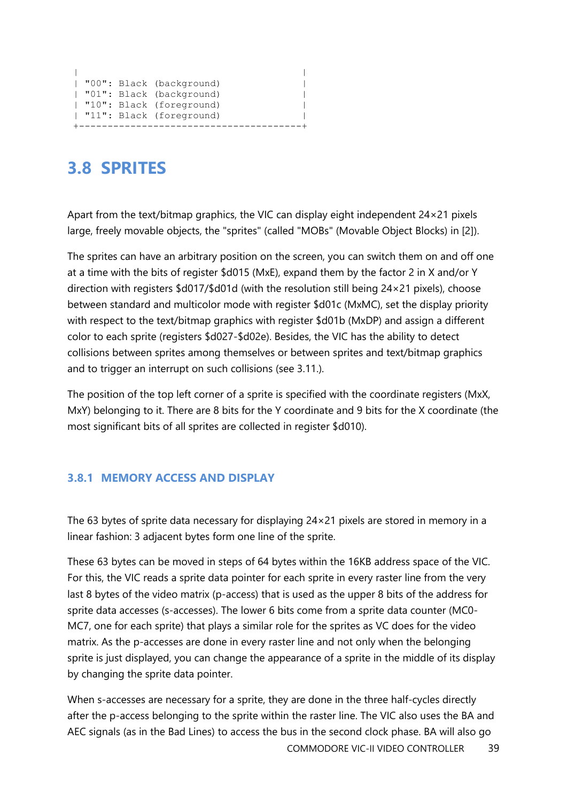```
| |
| "00": Black (background) |
| "01": Black (background) |
| "10": Black (foreground) |
| "11": Black (foreground) |
+---------------------------------------+
```
# <span id="page-38-0"></span>**3.8 SPRITES**

Apart from the text/bitmap graphics, the VIC can display eight independent 24×21 pixels large, freely movable objects, the "sprites" (called "MOBs" (Movable Object Blocks) in [2]).

The sprites can have an arbitrary position on the screen, you can switch them on and off one at a time with the bits of register \$d015 (MxE), expand them by the factor 2 in X and/or Y direction with registers \$d017/\$d01d (with the resolution still being 24×21 pixels), choose between standard and multicolor mode with register \$d01c (MxMC), set the display priority with respect to the text/bitmap graphics with register \$d01b (MxDP) and assign a different color to each sprite (registers \$d027-\$d02e). Besides, the VIC has the ability to detect collisions between sprites among themselves or between sprites and text/bitmap graphics and to trigger an interrupt on such collisions (see 3.11.).

The position of the top left corner of a sprite is specified with the coordinate registers (MxX, MxY) belonging to it. There are 8 bits for the Y coordinate and 9 bits for the X coordinate (the most significant bits of all sprites are collected in register \$d010).

#### <span id="page-38-1"></span>**3.8.1 MEMORY ACCESS AND DISPLAY**

The 63 bytes of sprite data necessary for displaying 24×21 pixels are stored in memory in a linear fashion: 3 adjacent bytes form one line of the sprite.

These 63 bytes can be moved in steps of 64 bytes within the 16KB address space of the VIC. For this, the VIC reads a sprite data pointer for each sprite in every raster line from the very last 8 bytes of the video matrix (p-access) that is used as the upper 8 bits of the address for sprite data accesses (s-accesses). The lower 6 bits come from a sprite data counter (MC0- MC7, one for each sprite) that plays a similar role for the sprites as VC does for the video matrix. As the p-accesses are done in every raster line and not only when the belonging sprite is just displayed, you can change the appearance of a sprite in the middle of its display by changing the sprite data pointer.

When s-accesses are necessary for a sprite, they are done in the three half-cycles directly after the p-access belonging to the sprite within the raster line. The VIC also uses the BA and AEC signals (as in the Bad Lines) to access the bus in the second clock phase. BA will also go

COMMODORE VIC-II VIDEO CONTROLLER 39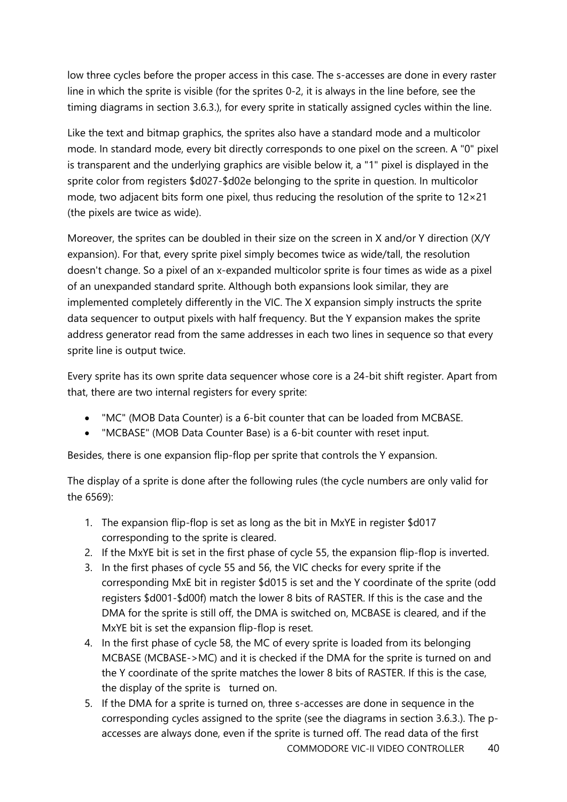low three cycles before the proper access in this case. The s-accesses are done in every raster line in which the sprite is visible (for the sprites 0-2, it is always in the line before, see the timing diagrams in section 3.6.3.), for every sprite in statically assigned cycles within the line.

Like the text and bitmap graphics, the sprites also have a standard mode and a multicolor mode. In standard mode, every bit directly corresponds to one pixel on the screen. A "0" pixel is transparent and the underlying graphics are visible below it, a "1" pixel is displayed in the sprite color from registers \$d027-\$d02e belonging to the sprite in question. In multicolor mode, two adjacent bits form one pixel, thus reducing the resolution of the sprite to 12×21 (the pixels are twice as wide).

Moreover, the sprites can be doubled in their size on the screen in X and/or Y direction (X/Y expansion). For that, every sprite pixel simply becomes twice as wide/tall, the resolution doesn't change. So a pixel of an x-expanded multicolor sprite is four times as wide as a pixel of an unexpanded standard sprite. Although both expansions look similar, they are implemented completely differently in the VIC. The X expansion simply instructs the sprite data sequencer to output pixels with half frequency. But the Y expansion makes the sprite address generator read from the same addresses in each two lines in sequence so that every sprite line is output twice.

Every sprite has its own sprite data sequencer whose core is a 24-bit shift register. Apart from that, there are two internal registers for every sprite:

- "MC" (MOB Data Counter) is a 6-bit counter that can be loaded from MCBASE.
- "MCBASE" (MOB Data Counter Base) is a 6-bit counter with reset input.

Besides, there is one expansion flip-flop per sprite that controls the Y expansion.

The display of a sprite is done after the following rules (the cycle numbers are only valid for the 6569):

- 1. The expansion flip-flop is set as long as the bit in MxYE in register \$d017 corresponding to the sprite is cleared.
- 2. If the MxYE bit is set in the first phase of cycle 55, the expansion flip-flop is inverted.
- 3. In the first phases of cycle 55 and 56, the VIC checks for every sprite if the corresponding MxE bit in register \$d015 is set and the Y coordinate of the sprite (odd registers \$d001-\$d00f) match the lower 8 bits of RASTER. If this is the case and the DMA for the sprite is still off, the DMA is switched on, MCBASE is cleared, and if the MxYE bit is set the expansion flip-flop is reset.
- 4. In the first phase of cycle 58, the MC of every sprite is loaded from its belonging MCBASE (MCBASE->MC) and it is checked if the DMA for the sprite is turned on and the Y coordinate of the sprite matches the lower 8 bits of RASTER. If this is the case, the display of the sprite is turned on.
- 5. If the DMA for a sprite is turned on, three s-accesses are done in sequence in the corresponding cycles assigned to the sprite (see the diagrams in section 3.6.3.). The paccesses are always done, even if the sprite is turned off. The read data of the first

COMMODORE VIC-II VIDEO CONTROLLER 40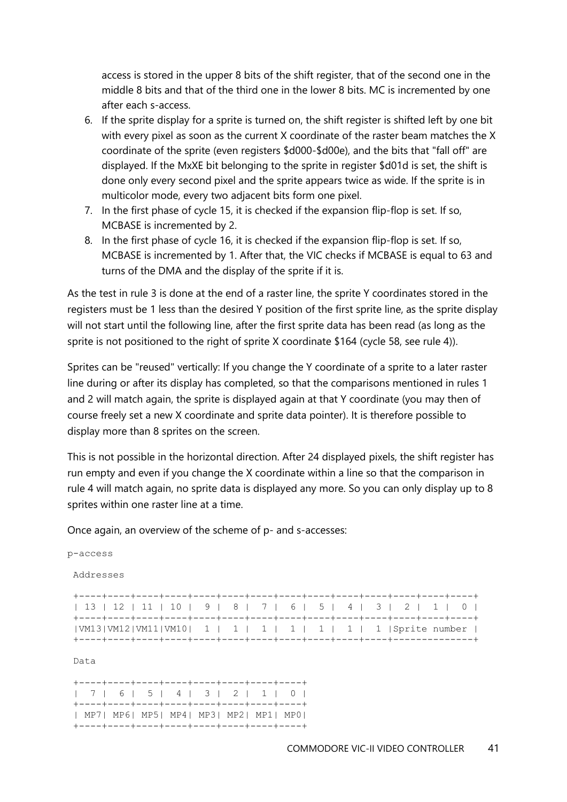access is stored in the upper 8 bits of the shift register, that of the second one in the middle 8 bits and that of the third one in the lower 8 bits. MC is incremented by one after each s-access.

- 6. If the sprite display for a sprite is turned on, the shift register is shifted left by one bit with every pixel as soon as the current X coordinate of the raster beam matches the X coordinate of the sprite (even registers \$d000-\$d00e), and the bits that "fall off" are displayed. If the MxXE bit belonging to the sprite in register \$d01d is set, the shift is done only every second pixel and the sprite appears twice as wide. If the sprite is in multicolor mode, every two adjacent bits form one pixel.
- 7. In the first phase of cycle 15, it is checked if the expansion flip-flop is set. If so, MCBASE is incremented by 2.
- 8. In the first phase of cycle 16, it is checked if the expansion flip-flop is set. If so, MCBASE is incremented by 1. After that, the VIC checks if MCBASE is equal to 63 and turns of the DMA and the display of the sprite if it is.

As the test in rule 3 is done at the end of a raster line, the sprite Y coordinates stored in the registers must be 1 less than the desired Y position of the first sprite line, as the sprite display will not start until the following line, after the first sprite data has been read (as long as the sprite is not positioned to the right of sprite X coordinate \$164 (cycle 58, see rule 4)).

Sprites can be "reused" vertically: If you change the Y coordinate of a sprite to a later raster line during or after its display has completed, so that the comparisons mentioned in rules 1 and 2 will match again, the sprite is displayed again at that Y coordinate (you may then of course freely set a new X coordinate and sprite data pointer). It is therefore possible to display more than 8 sprites on the screen.

This is not possible in the horizontal direction. After 24 displayed pixels, the shift register has run empty and even if you change the X coordinate within a line so that the comparison in rule 4 will match again, no sprite data is displayed any more. So you can only display up to 8 sprites within one raster line at a time.

Once again, an overview of the scheme of p- and s-accesses:

Addresses

| 13   12   11   10   9   8   7   6   5   4   3   2   1   0     |  |  |  |  |
|---------------------------------------------------------------|--|--|--|--|
|                                                               |  |  |  |  |
| $ VM13 VM12 VM11 VM10 $ 1   1   1   1   1   1   3prite number |  |  |  |  |
|                                                               |  |  |  |  |

Data

|  |  |  |  |  |  | 7   6   5   4   3   2   1   0          |  |  |
|--|--|--|--|--|--|----------------------------------------|--|--|
|  |  |  |  |  |  |                                        |  |  |
|  |  |  |  |  |  | MP7  MP6  MP5  MP4  MP3  MP2  MP1  MP0 |  |  |
|  |  |  |  |  |  |                                        |  |  |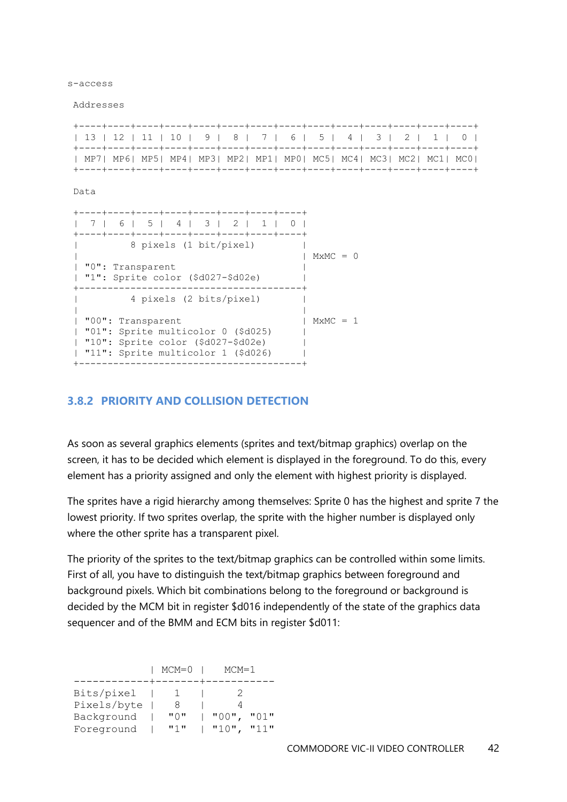s-access

Addresses

|  |  |  |  |  |  |  |  |  |  |  | 13   12   11   10   9   8   7   6   5   4   3   2   1   0            |  |  |
|--|--|--|--|--|--|--|--|--|--|--|----------------------------------------------------------------------|--|--|
|  |  |  |  |  |  |  |  |  |  |  |                                                                      |  |  |
|  |  |  |  |  |  |  |  |  |  |  | MP7  MP6  MP5  MP4  MP3  MP2  MP1  MP0  MC5  MC4  MC3  MC2  MC1  MC0 |  |  |
|  |  |  |  |  |  |  |  |  |  |  |                                                                      |  |  |

Data

| ----+----+----+----+----+----+<br>7   6   5   4   3   2   1  <br>-----+----+----+----+----+----+----+                                   |            |
|-----------------------------------------------------------------------------------------------------------------------------------------|------------|
| 8 pixels (1 bit/pixel)<br>"0": Transparent<br>"1": Sprite color (\$d027-\$d02e)                                                         | $MxMC = 0$ |
| 4 pixels (2 bits/pixel)                                                                                                                 |            |
| "00": Transparent<br>  "01": Sprite multicolor 0 (\$d025)<br>"10": Sprite color $(\$d027-\$d02e)$<br>"11": Sprite multicolor 1 (\$d026) | $MxMC = 1$ |

#### <span id="page-41-0"></span>**3.8.2 PRIORITY AND COLLISION DETECTION**

As soon as several graphics elements (sprites and text/bitmap graphics) overlap on the screen, it has to be decided which element is displayed in the foreground. To do this, every element has a priority assigned and only the element with highest priority is displayed.

The sprites have a rigid hierarchy among themselves: Sprite 0 has the highest and sprite 7 the lowest priority. If two sprites overlap, the sprite with the higher number is displayed only where the other sprite has a transparent pixel.

The priority of the sprites to the text/bitmap graphics can be controlled within some limits. First of all, you have to distinguish the text/bitmap graphics between foreground and background pixels. Which bit combinations belong to the foreground or background is decided by the MCM bit in register \$d016 independently of the state of the graphics data sequencer and of the BMM and ECM bits in register \$d011:

|             | $MCM=0$ | $MCM=1$              |
|-------------|---------|----------------------|
|             |         |                      |
| Bits/pixel  |         |                      |
| Pixels/byte |         |                      |
| Background  | "∩ "    | $"00"$ ,<br>"01"     |
| Foreground  | 11 J 11 | <b>1111</b><br>"10", |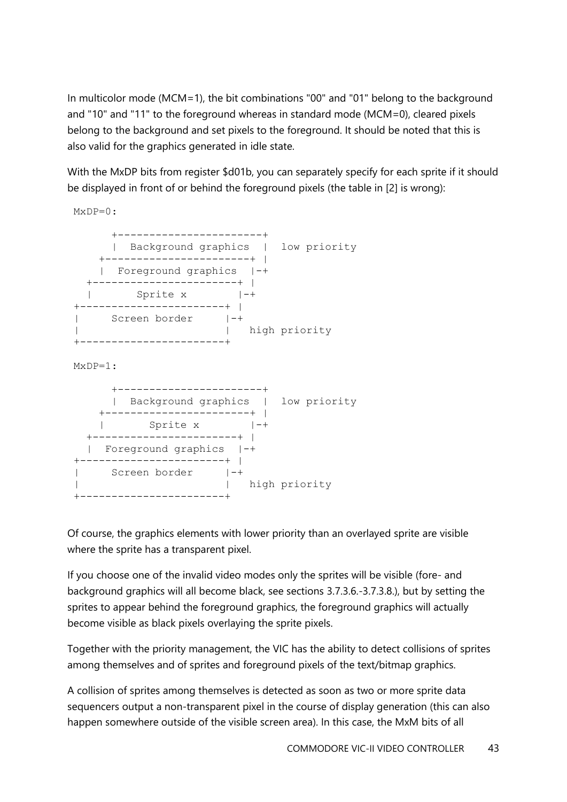In multicolor mode (MCM=1), the bit combinations "00" and "01" belong to the background and "10" and "11" to the foreground whereas in standard mode (MCM=0), cleared pixels belong to the background and set pixels to the foreground. It should be noted that this is also valid for the graphics generated in idle state.

With the MxDP bits from register \$d01b, you can separately specify for each sprite if it should be displayed in front of or behind the foreground pixels (the table in [2] is wrong):



Of course, the graphics elements with lower priority than an overlayed sprite are visible where the sprite has a transparent pixel.

If you choose one of the invalid video modes only the sprites will be visible (fore- and background graphics will all become black, see sections 3.7.3.6.-3.7.3.8.), but by setting the sprites to appear behind the foreground graphics, the foreground graphics will actually become visible as black pixels overlaying the sprite pixels.

Together with the priority management, the VIC has the ability to detect collisions of sprites among themselves and of sprites and foreground pixels of the text/bitmap graphics.

A collision of sprites among themselves is detected as soon as two or more sprite data sequencers output a non-transparent pixel in the course of display generation (this can also happen somewhere outside of the visible screen area). In this case, the MxM bits of all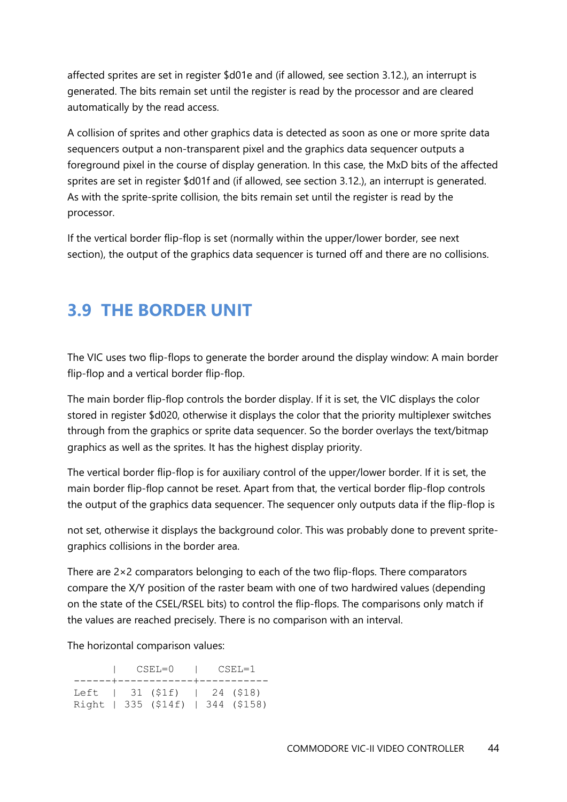affected sprites are set in register \$d01e and (if allowed, see section 3.12.), an interrupt is generated. The bits remain set until the register is read by the processor and are cleared automatically by the read access.

A collision of sprites and other graphics data is detected as soon as one or more sprite data sequencers output a non-transparent pixel and the graphics data sequencer outputs a foreground pixel in the course of display generation. In this case, the MxD bits of the affected sprites are set in register \$d01f and (if allowed, see section 3.12.), an interrupt is generated. As with the sprite-sprite collision, the bits remain set until the register is read by the processor.

If the vertical border flip-flop is set (normally within the upper/lower border, see next section), the output of the graphics data sequencer is turned off and there are no collisions.

# <span id="page-43-0"></span>**3.9 THE BORDER UNIT**

The VIC uses two flip-flops to generate the border around the display window: A main border flip-flop and a vertical border flip-flop.

The main border flip-flop controls the border display. If it is set, the VIC displays the color stored in register \$d020, otherwise it displays the color that the priority multiplexer switches through from the graphics or sprite data sequencer. So the border overlays the text/bitmap graphics as well as the sprites. It has the highest display priority.

The vertical border flip-flop is for auxiliary control of the upper/lower border. If it is set, the main border flip-flop cannot be reset. Apart from that, the vertical border flip-flop controls the output of the graphics data sequencer. The sequencer only outputs data if the flip-flop is

not set, otherwise it displays the background color. This was probably done to prevent spritegraphics collisions in the border area.

There are  $2\times 2$  comparators belonging to each of the two flip-flops. There comparators compare the X/Y position of the raster beam with one of two hardwired values (depending on the state of the CSEL/RSEL bits) to control the flip-flops. The comparisons only match if the values are reached precisely. There is no comparison with an interval.

The horizontal comparison values:

|  |                                                                         | CSEL=0   CSEL=1<br>-------+------------+------------ |  |  |  |  |  |  |
|--|-------------------------------------------------------------------------|------------------------------------------------------|--|--|--|--|--|--|
|  | Left   $31 (91f)$   $24 (918)$<br>Right   $335$ (\$14f)   $344$ (\$158) |                                                      |  |  |  |  |  |  |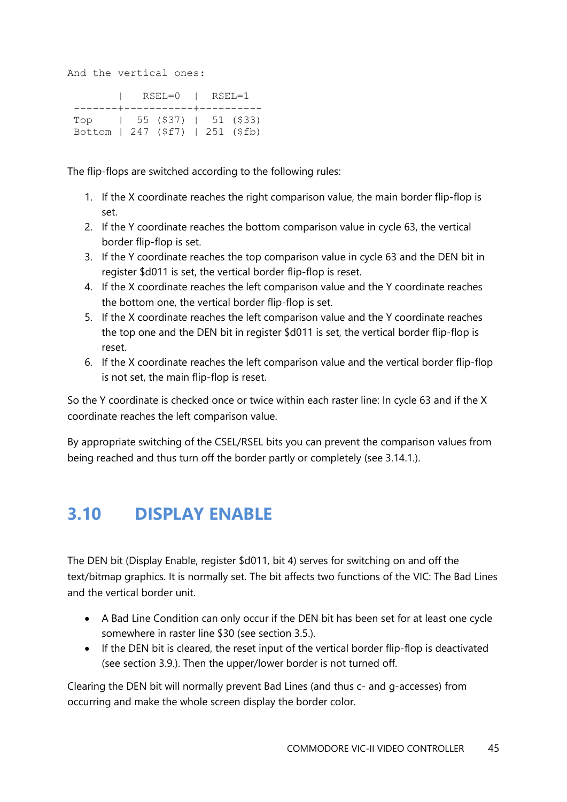And the vertical ones:

|                                  |  |  | $ $ RSEL=0 $ $ RSEL=1 |  |  |  |  |  |
|----------------------------------|--|--|-----------------------|--|--|--|--|--|
| --------+-----------+----------  |  |  |                       |  |  |  |  |  |
|                                  |  |  |                       |  |  |  |  |  |
| Bottom   247 (\$f7)   251 (\$fb) |  |  |                       |  |  |  |  |  |

The flip-flops are switched according to the following rules:

- 1. If the X coordinate reaches the right comparison value, the main border flip-flop is set.
- 2. If the Y coordinate reaches the bottom comparison value in cycle 63, the vertical border flip-flop is set.
- 3. If the Y coordinate reaches the top comparison value in cycle 63 and the DEN bit in register \$d011 is set, the vertical border flip-flop is reset.
- 4. If the X coordinate reaches the left comparison value and the Y coordinate reaches the bottom one, the vertical border flip-flop is set.
- 5. If the X coordinate reaches the left comparison value and the Y coordinate reaches the top one and the DEN bit in register \$d011 is set, the vertical border flip-flop is reset.
- 6. If the X coordinate reaches the left comparison value and the vertical border flip-flop is not set, the main flip-flop is reset.

So the Y coordinate is checked once or twice within each raster line: In cycle 63 and if the X coordinate reaches the left comparison value.

By appropriate switching of the CSEL/RSEL bits you can prevent the comparison values from being reached and thus turn off the border partly or completely (see 3.14.1.).

# <span id="page-44-0"></span>**3.10 DISPLAY ENABLE**

The DEN bit (Display Enable, register \$d011, bit 4) serves for switching on and off the text/bitmap graphics. It is normally set. The bit affects two functions of the VIC: The Bad Lines and the vertical border unit.

- A Bad Line Condition can only occur if the DEN bit has been set for at least one cycle somewhere in raster line \$30 (see section 3.5.).
- If the DEN bit is cleared, the reset input of the vertical border flip-flop is deactivated (see section 3.9.). Then the upper/lower border is not turned off.

Clearing the DEN bit will normally prevent Bad Lines (and thus c- and g-accesses) from occurring and make the whole screen display the border color.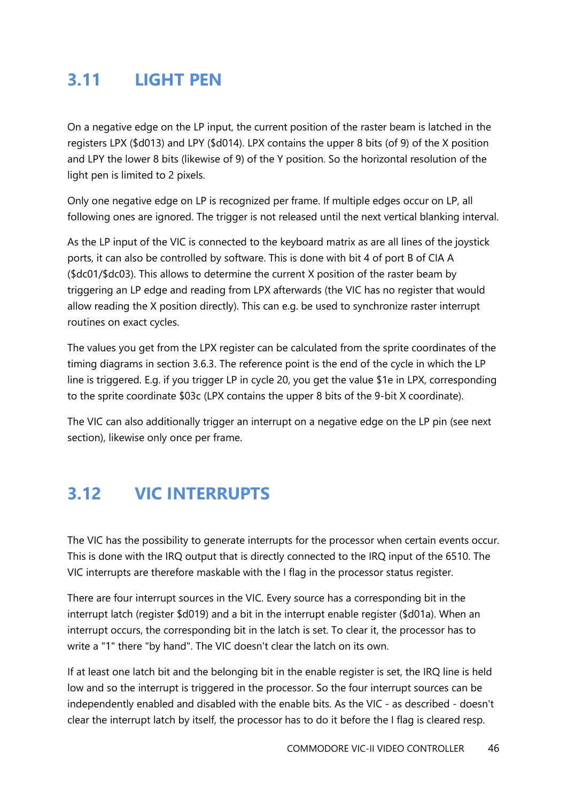# <span id="page-45-0"></span>**3.11 LIGHT PEN**

On a negative edge on the LP input, the current position of the raster beam is latched in the registers LPX (\$d013) and LPY (\$d014). LPX contains the upper 8 bits (of 9) of the X position and LPY the lower 8 bits (likewise of 9) of the Y position. So the horizontal resolution of the light pen is limited to 2 pixels.

Only one negative edge on LP is recognized per frame. If multiple edges occur on LP, all following ones are ignored. The trigger is not released until the next vertical blanking interval.

As the LP input of the VIC is connected to the keyboard matrix as are all lines of the joystick ports, it can also be controlled by software. This is done with bit 4 of port B of CIA A (\$dc01/\$dc03). This allows to determine the current X position of the raster beam by triggering an LP edge and reading from LPX afterwards (the VIC has no register that would allow reading the X position directly). This can e.g. be used to synchronize raster interrupt routines on exact cycles.

The values you get from the LPX register can be calculated from the sprite coordinates of the timing diagrams in section 3.6.3. The reference point is the end of the cycle in which the LP line is triggered. E.g. if you trigger LP in cycle 20, you get the value \$1e in LPX, corresponding to the sprite coordinate \$03c (LPX contains the upper 8 bits of the 9-bit X coordinate).

The VIC can also additionally trigger an interrupt on a negative edge on the LP pin (see next section), likewise only once per frame.

# <span id="page-45-1"></span>**3.12 VIC INTERRUPTS**

The VIC has the possibility to generate interrupts for the processor when certain events occur. This is done with the IRQ output that is directly connected to the IRQ input of the 6510. The VIC interrupts are therefore maskable with the I flag in the processor status register.

There are four interrupt sources in the VIC. Every source has a corresponding bit in the interrupt latch (register \$d019) and a bit in the interrupt enable register (\$d01a). When an interrupt occurs, the corresponding bit in the latch is set. To clear it, the processor has to write a "1" there "by hand". The VIC doesn't clear the latch on its own.

If at least one latch bit and the belonging bit in the enable register is set, the IRQ line is held low and so the interrupt is triggered in the processor. So the four interrupt sources can be independently enabled and disabled with the enable bits. As the VIC - as described - doesn't clear the interrupt latch by itself, the processor has to do it before the I flag is cleared resp.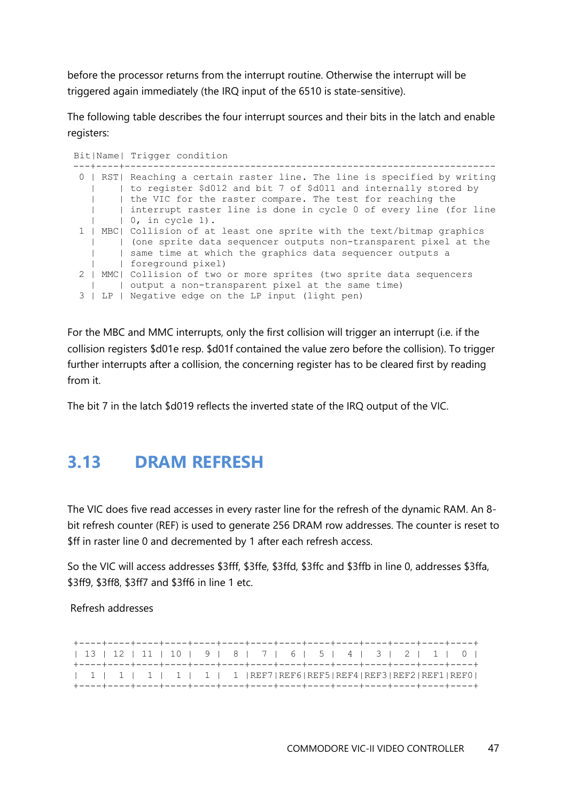before the processor returns from the interrupt routine. Otherwise the interrupt will be triggered again immediately (the IRQ input of the 6510 is state-sensitive).

The following table describes the four interrupt sources and their bits in the latch and enable registers:

|            | Bit Name  Trigger condition                                               |
|------------|---------------------------------------------------------------------------|
| ---+----+- |                                                                           |
|            | 0   RST  Reaching a certain raster line. The line is specified by writing |
|            | to register \$d012 and bit 7 of \$d011 and internally stored by           |
|            | the VIC for the raster compare. The test for reaching the                 |
|            | interrupt raster line is done in cycle 0 of every line (for line          |
|            | $\vert$ 0, in cycle 1).                                                   |
|            | 1   MBC  Collision of at least one sprite with the text/bitmap graphics   |
|            | (one sprite data sequencer outputs non-transparent pixel at the           |
|            | same time at which the graphics data sequencer outputs a                  |
|            | foreground pixel)                                                         |
|            | 2   MMC  Collision of two or more sprites (two sprite data sequencers     |
|            | output a non-transparent pixel at the same time)                          |
| $3-1$      | LP   Negative edge on the LP input (light pen)                            |

For the MBC and MMC interrupts, only the first collision will trigger an interrupt (i.e. if the collision registers \$d01e resp. \$d01f contained the value zero before the collision). To trigger further interrupts after a collision, the concerning register has to be cleared first by reading from it.

The bit 7 in the latch \$d019 reflects the inverted state of the IRQ output of the VIC.

### <span id="page-46-0"></span>**3.13 DRAM REFRESH**

The VIC does five read accesses in every raster line for the refresh of the dynamic RAM. An 8 bit refresh counter (REF) is used to generate 256 DRAM row addresses. The counter is reset to \$ff in raster line 0 and decremented by 1 after each refresh access.

So the VIC will access addresses \$3fff, \$3ffe, \$3ffd, \$3ffc and \$3ffb in line 0, addresses \$3ffa, \$3ff9, \$3ff8, \$3ff7 and \$3ff6 in line 1 etc.

#### Refresh addresses

|  |  |  |  |  |  |  |  |  |  | 13   12   11   10   9   8   7   6   5   4   3   2   1   0                                       |  |  |  |  |
|--|--|--|--|--|--|--|--|--|--|-------------------------------------------------------------------------------------------------|--|--|--|--|
|  |  |  |  |  |  |  |  |  |  |                                                                                                 |  |  |  |  |
|  |  |  |  |  |  |  |  |  |  |                                                                                                 |  |  |  |  |
|  |  |  |  |  |  |  |  |  |  | $  1   1   1   1   1   1   1   1   1   REF7   REF6   REF5   REF4   REF3   REF2   REF1   REF0  $ |  |  |  |  |
|  |  |  |  |  |  |  |  |  |  |                                                                                                 |  |  |  |  |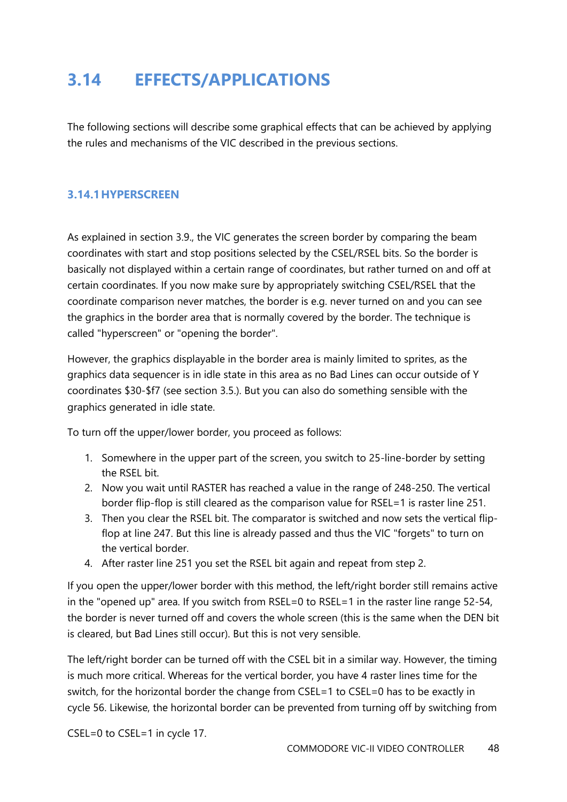# <span id="page-47-0"></span>**3.14 EFFECTS/APPLICATIONS**

The following sections will describe some graphical effects that can be achieved by applying the rules and mechanisms of the VIC described in the previous sections.

#### <span id="page-47-1"></span>**3.14.1HYPERSCREEN**

As explained in section 3.9., the VIC generates the screen border by comparing the beam coordinates with start and stop positions selected by the CSEL/RSEL bits. So the border is basically not displayed within a certain range of coordinates, but rather turned on and off at certain coordinates. If you now make sure by appropriately switching CSEL/RSEL that the coordinate comparison never matches, the border is e.g. never turned on and you can see the graphics in the border area that is normally covered by the border. The technique is called "hyperscreen" or "opening the border".

However, the graphics displayable in the border area is mainly limited to sprites, as the graphics data sequencer is in idle state in this area as no Bad Lines can occur outside of Y coordinates \$30-\$f7 (see section 3.5.). But you can also do something sensible with the graphics generated in idle state.

To turn off the upper/lower border, you proceed as follows:

- 1. Somewhere in the upper part of the screen, you switch to 25-line-border by setting the RSEL bit.
- 2. Now you wait until RASTER has reached a value in the range of 248-250. The vertical border flip-flop is still cleared as the comparison value for RSEL=1 is raster line 251.
- 3. Then you clear the RSEL bit. The comparator is switched and now sets the vertical flipflop at line 247. But this line is already passed and thus the VIC "forgets" to turn on the vertical border.
- 4. After raster line 251 you set the RSEL bit again and repeat from step 2.

If you open the upper/lower border with this method, the left/right border still remains active in the "opened up" area. If you switch from RSEL=0 to RSEL=1 in the raster line range 52-54, the border is never turned off and covers the whole screen (this is the same when the DEN bit is cleared, but Bad Lines still occur). But this is not very sensible.

The left/right border can be turned off with the CSEL bit in a similar way. However, the timing is much more critical. Whereas for the vertical border, you have 4 raster lines time for the switch, for the horizontal border the change from CSEL=1 to CSEL=0 has to be exactly in cycle 56. Likewise, the horizontal border can be prevented from turning off by switching from

CSEL=0 to CSEL=1 in cycle 17.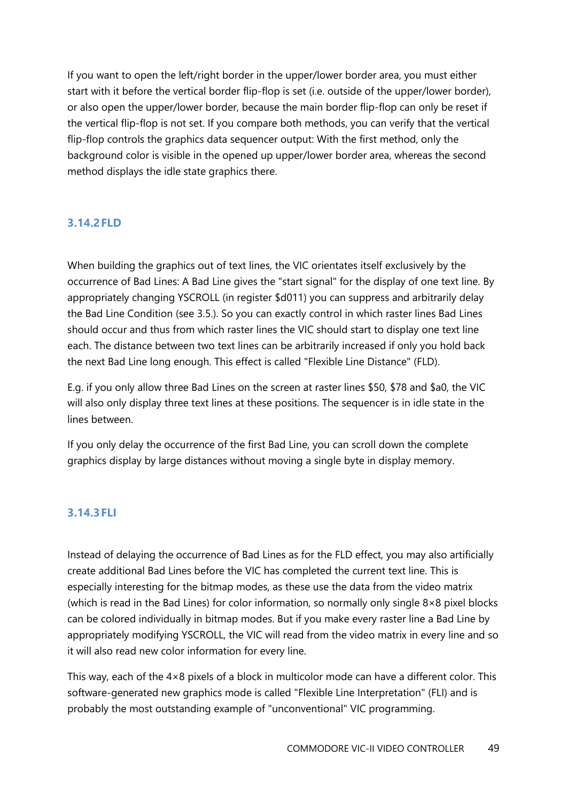If you want to open the left/right border in the upper/lower border area, you must either start with it before the vertical border flip-flop is set (i.e. outside of the upper/lower border), or also open the upper/lower border, because the main border flip-flop can only be reset if the vertical flip-flop is not set. If you compare both methods, you can verify that the vertical flip-flop controls the graphics data sequencer output: With the first method, only the background color is visible in the opened up upper/lower border area, whereas the second method displays the idle state graphics there.

#### <span id="page-48-0"></span>**3.14.2FLD**

When building the graphics out of text lines, the VIC orientates itself exclusively by the occurrence of Bad Lines: A Bad Line gives the "start signal" for the display of one text line. By appropriately changing YSCROLL (in register \$d011) you can suppress and arbitrarily delay the Bad Line Condition (see 3.5.). So you can exactly control in which raster lines Bad Lines should occur and thus from which raster lines the VIC should start to display one text line each. The distance between two text lines can be arbitrarily increased if only you hold back the next Bad Line long enough. This effect is called "Flexible Line Distance" (FLD).

E.g. if you only allow three Bad Lines on the screen at raster lines \$50, \$78 and \$a0, the VIC will also only display three text lines at these positions. The sequencer is in idle state in the lines between.

If you only delay the occurrence of the first Bad Line, you can scroll down the complete graphics display by large distances without moving a single byte in display memory.

#### <span id="page-48-1"></span>**3.14.3FLI**

Instead of delaying the occurrence of Bad Lines as for the FLD effect, you may also artificially create additional Bad Lines before the VIC has completed the current text line. This is especially interesting for the bitmap modes, as these use the data from the video matrix (which is read in the Bad Lines) for color information, so normally only single 8×8 pixel blocks can be colored individually in bitmap modes. But if you make every raster line a Bad Line by appropriately modifying YSCROLL, the VIC will read from the video matrix in every line and so it will also read new color information for every line.

This way, each of the 4×8 pixels of a block in multicolor mode can have a different color. This software-generated new graphics mode is called "Flexible Line Interpretation" (FLI) and is probably the most outstanding example of "unconventional" VIC programming.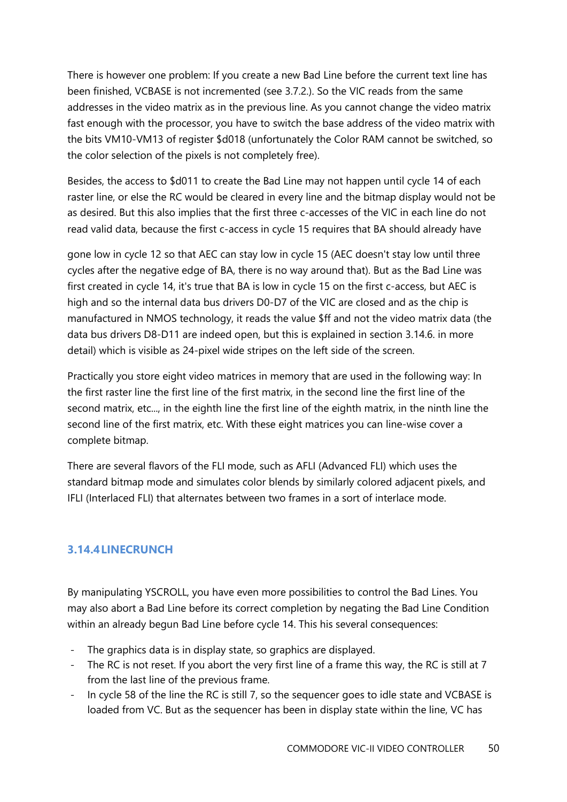There is however one problem: If you create a new Bad Line before the current text line has been finished, VCBASE is not incremented (see 3.7.2.). So the VIC reads from the same addresses in the video matrix as in the previous line. As you cannot change the video matrix fast enough with the processor, you have to switch the base address of the video matrix with the bits VM10-VM13 of register \$d018 (unfortunately the Color RAM cannot be switched, so the color selection of the pixels is not completely free).

Besides, the access to \$d011 to create the Bad Line may not happen until cycle 14 of each raster line, or else the RC would be cleared in every line and the bitmap display would not be as desired. But this also implies that the first three c-accesses of the VIC in each line do not read valid data, because the first c-access in cycle 15 requires that BA should already have

gone low in cycle 12 so that AEC can stay low in cycle 15 (AEC doesn't stay low until three cycles after the negative edge of BA, there is no way around that). But as the Bad Line was first created in cycle 14, it's true that BA is low in cycle 15 on the first c-access, but AEC is high and so the internal data bus drivers D0-D7 of the VIC are closed and as the chip is manufactured in NMOS technology, it reads the value \$ff and not the video matrix data (the data bus drivers D8-D11 are indeed open, but this is explained in section 3.14.6. in more detail) which is visible as 24-pixel wide stripes on the left side of the screen.

Practically you store eight video matrices in memory that are used in the following way: In the first raster line the first line of the first matrix, in the second line the first line of the second matrix, etc..., in the eighth line the first line of the eighth matrix, in the ninth line the second line of the first matrix, etc. With these eight matrices you can line-wise cover a complete bitmap.

There are several flavors of the FLI mode, such as AFLI (Advanced FLI) which uses the standard bitmap mode and simulates color blends by similarly colored adjacent pixels, and IFLI (Interlaced FLI) that alternates between two frames in a sort of interlace mode.

#### <span id="page-49-0"></span>**3.14.4LINECRUNCH**

By manipulating YSCROLL, you have even more possibilities to control the Bad Lines. You may also abort a Bad Line before its correct completion by negating the Bad Line Condition within an already begun Bad Line before cycle 14. This his several consequences:

- The graphics data is in display state, so graphics are displayed.
- The RC is not reset. If you abort the very first line of a frame this way, the RC is still at 7 from the last line of the previous frame.
- In cycle 58 of the line the RC is still 7, so the sequencer goes to idle state and VCBASE is loaded from VC. But as the sequencer has been in display state within the line, VC has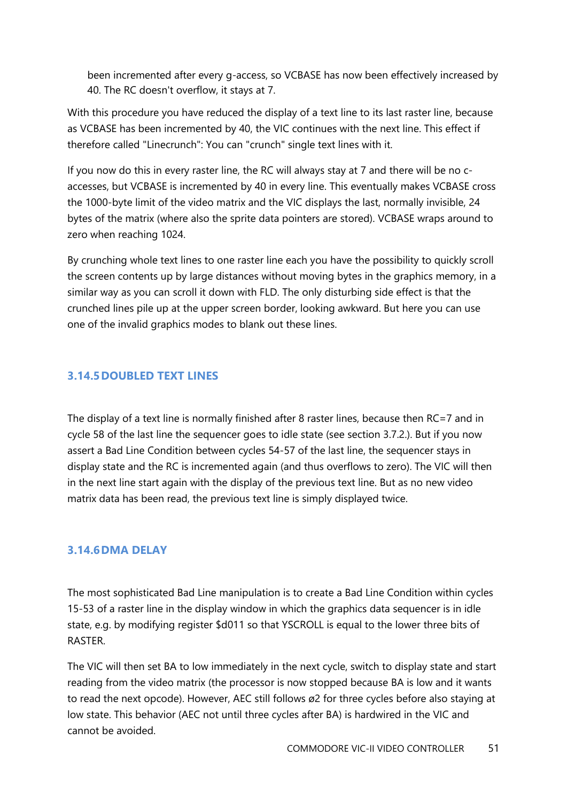been incremented after every g-access, so VCBASE has now been effectively increased by 40. The RC doesn't overflow, it stays at 7.

With this procedure you have reduced the display of a text line to its last raster line, because as VCBASE has been incremented by 40, the VIC continues with the next line. This effect if therefore called "Linecrunch": You can "crunch" single text lines with it.

If you now do this in every raster line, the RC will always stay at 7 and there will be no caccesses, but VCBASE is incremented by 40 in every line. This eventually makes VCBASE cross the 1000-byte limit of the video matrix and the VIC displays the last, normally invisible, 24 bytes of the matrix (where also the sprite data pointers are stored). VCBASE wraps around to zero when reaching 1024.

By crunching whole text lines to one raster line each you have the possibility to quickly scroll the screen contents up by large distances without moving bytes in the graphics memory, in a similar way as you can scroll it down with FLD. The only disturbing side effect is that the crunched lines pile up at the upper screen border, looking awkward. But here you can use one of the invalid graphics modes to blank out these lines.

#### <span id="page-50-0"></span>**3.14.5DOUBLED TEXT LINES**

The display of a text line is normally finished after 8 raster lines, because then RC=7 and in cycle 58 of the last line the sequencer goes to idle state (see section 3.7.2.). But if you now assert a Bad Line Condition between cycles 54-57 of the last line, the sequencer stays in display state and the RC is incremented again (and thus overflows to zero). The VIC will then in the next line start again with the display of the previous text line. But as no new video matrix data has been read, the previous text line is simply displayed twice.

#### <span id="page-50-1"></span>**3.14.6DMA DELAY**

The most sophisticated Bad Line manipulation is to create a Bad Line Condition within cycles 15-53 of a raster line in the display window in which the graphics data sequencer is in idle state, e.g. by modifying register \$d011 so that YSCROLL is equal to the lower three bits of RASTER.

The VIC will then set BA to low immediately in the next cycle, switch to display state and start reading from the video matrix (the processor is now stopped because BA is low and it wants to read the next opcode). However, AEC still follows ø2 for three cycles before also staying at low state. This behavior (AEC not until three cycles after BA) is hardwired in the VIC and cannot be avoided.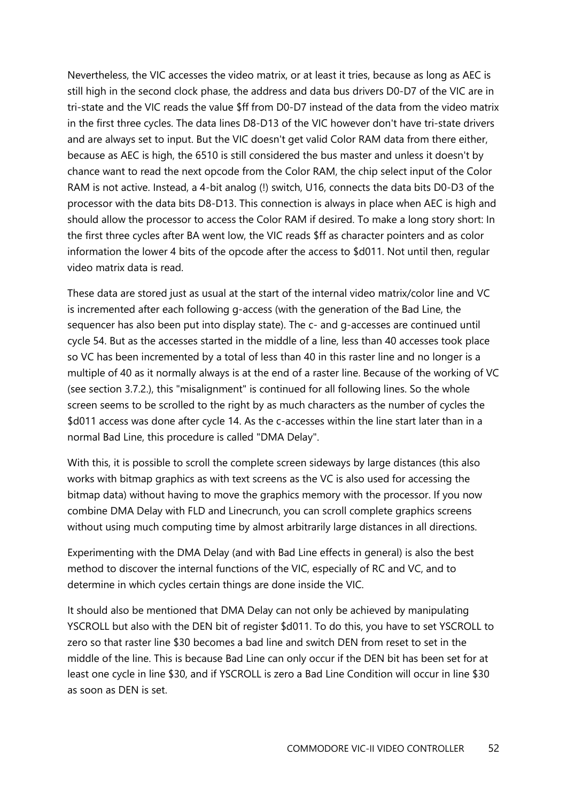Nevertheless, the VIC accesses the video matrix, or at least it tries, because as long as AEC is still high in the second clock phase, the address and data bus drivers D0-D7 of the VIC are in tri-state and the VIC reads the value \$ff from D0-D7 instead of the data from the video matrix in the first three cycles. The data lines D8-D13 of the VIC however don't have tri-state drivers and are always set to input. But the VIC doesn't get valid Color RAM data from there either, because as AEC is high, the 6510 is still considered the bus master and unless it doesn't by chance want to read the next opcode from the Color RAM, the chip select input of the Color RAM is not active. Instead, a 4-bit analog (!) switch, U16, connects the data bits D0-D3 of the processor with the data bits D8-D13. This connection is always in place when AEC is high and should allow the processor to access the Color RAM if desired. To make a long story short: In the first three cycles after BA went low, the VIC reads \$ff as character pointers and as color information the lower 4 bits of the opcode after the access to \$d011. Not until then, regular video matrix data is read.

These data are stored just as usual at the start of the internal video matrix/color line and VC is incremented after each following g-access (with the generation of the Bad Line, the sequencer has also been put into display state). The c- and g-accesses are continued until cycle 54. But as the accesses started in the middle of a line, less than 40 accesses took place so VC has been incremented by a total of less than 40 in this raster line and no longer is a multiple of 40 as it normally always is at the end of a raster line. Because of the working of VC (see section 3.7.2.), this "misalignment" is continued for all following lines. So the whole screen seems to be scrolled to the right by as much characters as the number of cycles the \$d011 access was done after cycle 14. As the c-accesses within the line start later than in a normal Bad Line, this procedure is called "DMA Delay".

With this, it is possible to scroll the complete screen sideways by large distances (this also works with bitmap graphics as with text screens as the VC is also used for accessing the bitmap data) without having to move the graphics memory with the processor. If you now combine DMA Delay with FLD and Linecrunch, you can scroll complete graphics screens without using much computing time by almost arbitrarily large distances in all directions.

Experimenting with the DMA Delay (and with Bad Line effects in general) is also the best method to discover the internal functions of the VIC, especially of RC and VC, and to determine in which cycles certain things are done inside the VIC.

It should also be mentioned that DMA Delay can not only be achieved by manipulating YSCROLL but also with the DEN bit of register \$d011. To do this, you have to set YSCROLL to zero so that raster line \$30 becomes a bad line and switch DEN from reset to set in the middle of the line. This is because Bad Line can only occur if the DEN bit has been set for at least one cycle in line \$30, and if YSCROLL is zero a Bad Line Condition will occur in line \$30 as soon as DEN is set.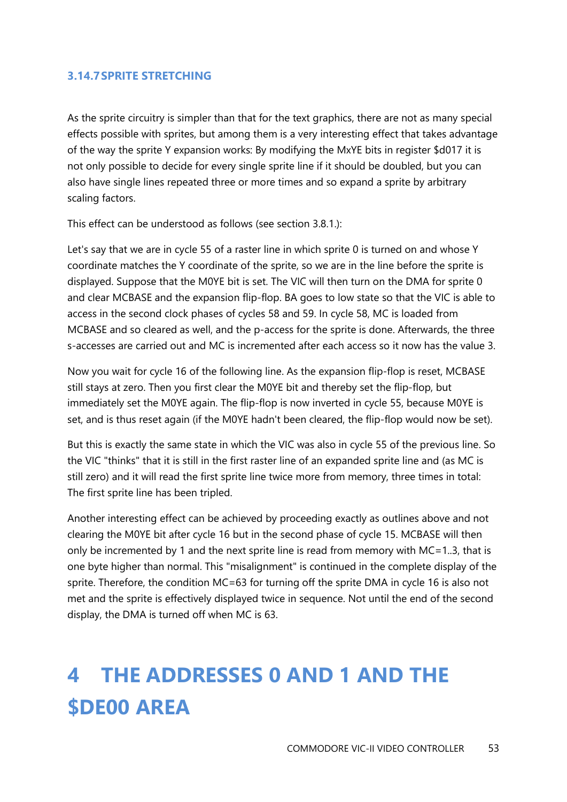#### <span id="page-52-0"></span>**3.14.7SPRITE STRETCHING**

As the sprite circuitry is simpler than that for the text graphics, there are not as many special effects possible with sprites, but among them is a very interesting effect that takes advantage of the way the sprite Y expansion works: By modifying the MxYE bits in register \$d017 it is not only possible to decide for every single sprite line if it should be doubled, but you can also have single lines repeated three or more times and so expand a sprite by arbitrary scaling factors.

This effect can be understood as follows (see section 3.8.1.):

Let's say that we are in cycle 55 of a raster line in which sprite 0 is turned on and whose Y coordinate matches the Y coordinate of the sprite, so we are in the line before the sprite is displayed. Suppose that the M0YE bit is set. The VIC will then turn on the DMA for sprite 0 and clear MCBASE and the expansion flip-flop. BA goes to low state so that the VIC is able to access in the second clock phases of cycles 58 and 59. In cycle 58, MC is loaded from MCBASE and so cleared as well, and the p-access for the sprite is done. Afterwards, the three s-accesses are carried out and MC is incremented after each access so it now has the value 3.

Now you wait for cycle 16 of the following line. As the expansion flip-flop is reset, MCBASE still stays at zero. Then you first clear the M0YE bit and thereby set the flip-flop, but immediately set the M0YE again. The flip-flop is now inverted in cycle 55, because M0YE is set, and is thus reset again (if the M0YE hadn't been cleared, the flip-flop would now be set).

But this is exactly the same state in which the VIC was also in cycle 55 of the previous line. So the VIC "thinks" that it is still in the first raster line of an expanded sprite line and (as MC is still zero) and it will read the first sprite line twice more from memory, three times in total: The first sprite line has been tripled.

Another interesting effect can be achieved by proceeding exactly as outlines above and not clearing the M0YE bit after cycle 16 but in the second phase of cycle 15. MCBASE will then only be incremented by 1 and the next sprite line is read from memory with MC=1..3, that is one byte higher than normal. This "misalignment" is continued in the complete display of the sprite. Therefore, the condition MC=63 for turning off the sprite DMA in cycle 16 is also not met and the sprite is effectively displayed twice in sequence. Not until the end of the second display, the DMA is turned off when MC is 63.

# <span id="page-52-1"></span>**4 THE ADDRESSES 0 AND 1 AND THE \$DE00 AREA**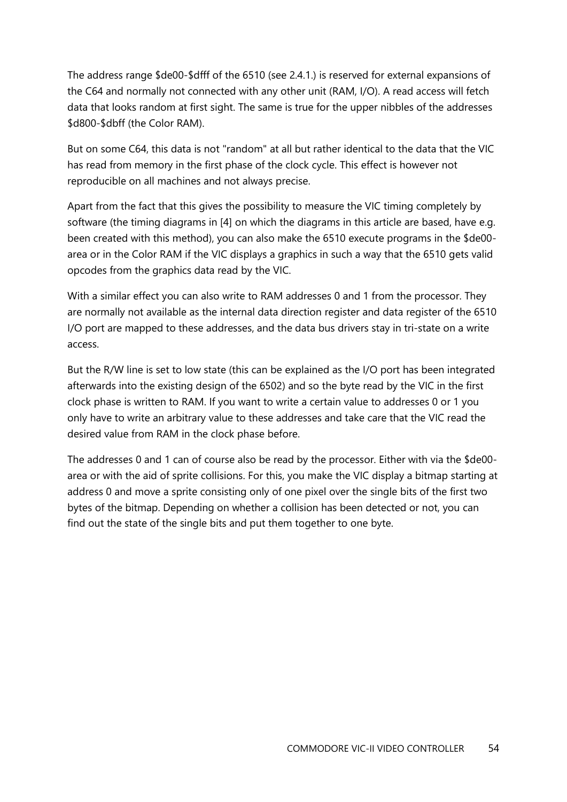The address range \$de00-\$dfff of the 6510 (see 2.4.1.) is reserved for external expansions of the C64 and normally not connected with any other unit (RAM, I/O). A read access will fetch data that looks random at first sight. The same is true for the upper nibbles of the addresses \$d800-\$dbff (the Color RAM).

But on some C64, this data is not "random" at all but rather identical to the data that the VIC has read from memory in the first phase of the clock cycle. This effect is however not reproducible on all machines and not always precise.

Apart from the fact that this gives the possibility to measure the VIC timing completely by software (the timing diagrams in [4] on which the diagrams in this article are based, have e.g. been created with this method), you can also make the 6510 execute programs in the \$de00 area or in the Color RAM if the VIC displays a graphics in such a way that the 6510 gets valid opcodes from the graphics data read by the VIC.

With a similar effect you can also write to RAM addresses 0 and 1 from the processor. They are normally not available as the internal data direction register and data register of the 6510 I/O port are mapped to these addresses, and the data bus drivers stay in tri-state on a write access.

But the R/W line is set to low state (this can be explained as the I/O port has been integrated afterwards into the existing design of the 6502) and so the byte read by the VIC in the first clock phase is written to RAM. If you want to write a certain value to addresses 0 or 1 you only have to write an arbitrary value to these addresses and take care that the VIC read the desired value from RAM in the clock phase before.

The addresses 0 and 1 can of course also be read by the processor. Either with via the \$de00 area or with the aid of sprite collisions. For this, you make the VIC display a bitmap starting at address 0 and move a sprite consisting only of one pixel over the single bits of the first two bytes of the bitmap. Depending on whether a collision has been detected or not, you can find out the state of the single bits and put them together to one byte.